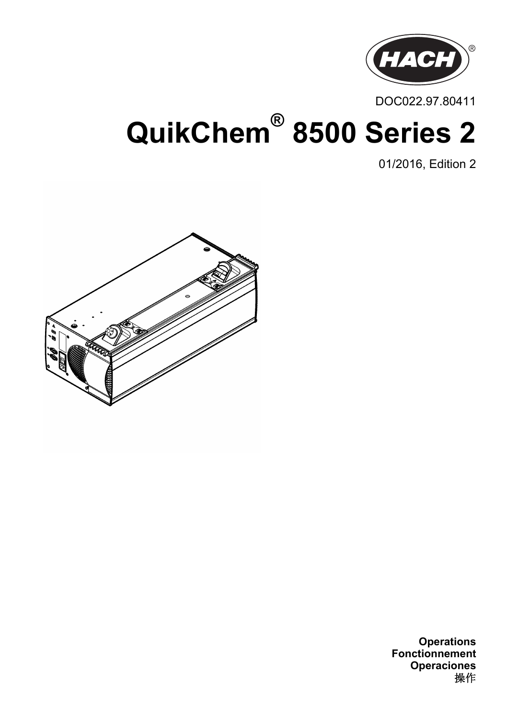

DOC022.97.80411

# **QuikChem® 8500 Series 2**

01/2016, Edition 2



**Operations Fonctionnement Operaciones** 操作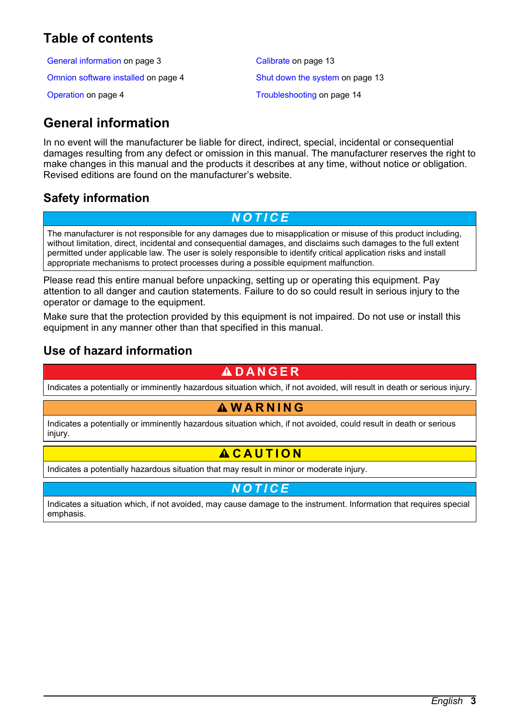# <span id="page-2-0"></span>**Table of contents**

General information on page 3 [Calibrate](#page-12-0) on page 13

[Omnion software installed](#page-3-0) on page 4 [Shut down the system](#page-12-0) on page 13

[Operation](#page-3-0) on page 4 [Troubleshooting](#page-13-0) on page 14

# **General information**

In no event will the manufacturer be liable for direct, indirect, special, incidental or consequential damages resulting from any defect or omission in this manual. The manufacturer reserves the right to make changes in this manual and the products it describes at any time, without notice or obligation. Revised editions are found on the manufacturer's website.

# **Safety information**

### *N O T I C E*

The manufacturer is not responsible for any damages due to misapplication or misuse of this product including, without limitation, direct, incidental and consequential damages, and disclaims such damages to the full extent permitted under applicable law. The user is solely responsible to identify critical application risks and install appropriate mechanisms to protect processes during a possible equipment malfunction.

Please read this entire manual before unpacking, setting up or operating this equipment. Pay attention to all danger and caution statements. Failure to do so could result in serious injury to the operator or damage to the equipment.

Make sure that the protection provided by this equipment is not impaired. Do not use or install this equipment in any manner other than that specified in this manual.

### **Use of hazard information**

### **D A N G E R**

Indicates a potentially or imminently hazardous situation which, if not avoided, will result in death or serious injury.

# **W A R N I N G**

Indicates a potentially or imminently hazardous situation which, if not avoided, could result in death or serious injury.

# $AC$ **AUTION**

Indicates a potentially hazardous situation that may result in minor or moderate injury.

### *N O T I C E*

Indicates a situation which, if not avoided, may cause damage to the instrument. Information that requires special emphasis.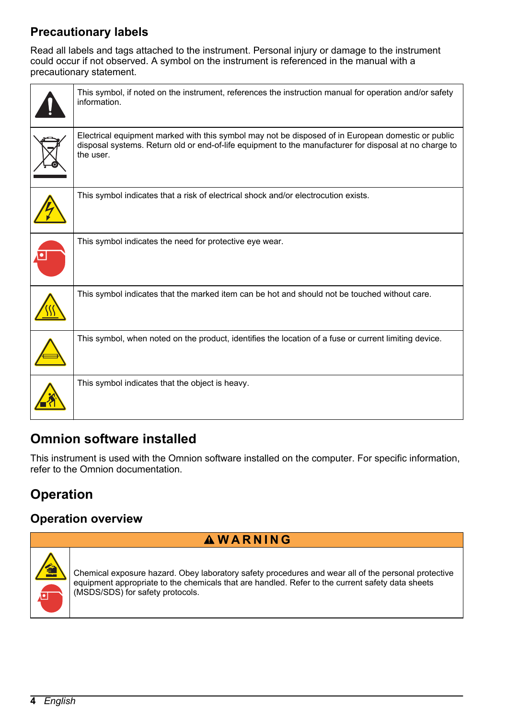# <span id="page-3-0"></span>**Precautionary labels**

Read all labels and tags attached to the instrument. Personal injury or damage to the instrument could occur if not observed. A symbol on the instrument is referenced in the manual with a precautionary statement.

| This symbol, if noted on the instrument, references the instruction manual for operation and/or safety<br>information.                                                                                                    |
|---------------------------------------------------------------------------------------------------------------------------------------------------------------------------------------------------------------------------|
| Electrical equipment marked with this symbol may not be disposed of in European domestic or public<br>disposal systems. Return old or end-of-life equipment to the manufacturer for disposal at no charge to<br>the user. |
| This symbol indicates that a risk of electrical shock and/or electrocution exists.                                                                                                                                        |
| This symbol indicates the need for protective eye wear.                                                                                                                                                                   |
| This symbol indicates that the marked item can be hot and should not be touched without care.                                                                                                                             |
| This symbol, when noted on the product, identifies the location of a fuse or current limiting device.                                                                                                                     |
| This symbol indicates that the object is heavy.                                                                                                                                                                           |

# **Omnion software installed**

This instrument is used with the Omnion software installed on the computer. For specific information, refer to the Omnion documentation.

# **Operation**

### **Operation overview**

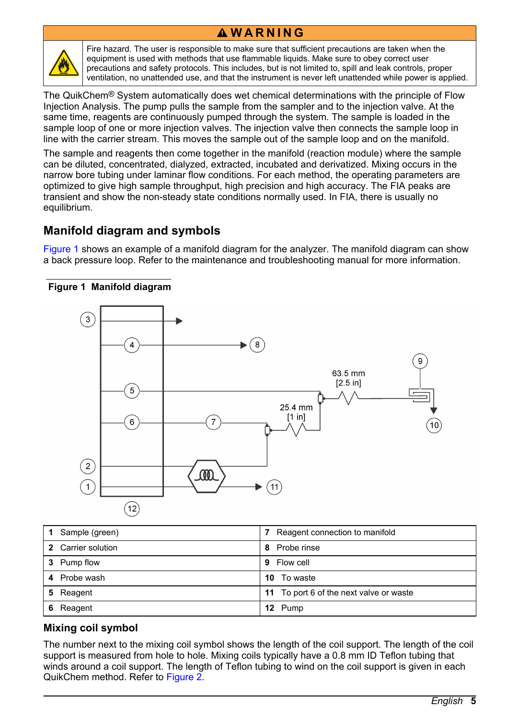### **W A R N I N G**



Fire hazard. The user is responsible to make sure that sufficient precautions are taken when the equipment is used with methods that use flammable liquids. Make sure to obey correct user precautions and safety protocols. This includes, but is not limited to, spill and leak controls, proper ventilation, no unattended use, and that the instrument is never left unattended while power is applied.

The QuikChem® System automatically does wet chemical determinations with the principle of Flow Injection Analysis. The pump pulls the sample from the sampler and to the injection valve. At the same time, reagents are continuously pumped through the system. The sample is loaded in the sample loop of one or more injection valves. The injection valve then connects the sample loop in line with the carrier stream. This moves the sample out of the sample loop and on the manifold.

The sample and reagents then come together in the manifold (reaction module) where the sample can be diluted, concentrated, dialyzed, extracted, incubated and derivatized. Mixing occurs in the narrow bore tubing under laminar flow conditions. For each method, the operating parameters are optimized to give high sample throughput, high precision and high accuracy. The FIA peaks are transient and show the non-steady state conditions normally used. In FIA, there is usually no equilibrium.

### **Manifold diagram and symbols**

Figure 1 shows an example of a manifold diagram for the analyzer. The manifold diagram can show a back pressure loop. Refer to the maintenance and troubleshooting manual for more information.



#### **Figure 1 Manifold diagram**

| 1 Sample (green)   | Reagent connection to manifold          |
|--------------------|-----------------------------------------|
| 2 Carrier solution | Probe rinse<br>8                        |
| 3 Pump flow        | Flow cell<br>9                          |
| 4 Probe wash       | To waste<br>10.                         |
| 5 Reagent          | 11 To port 6 of the next valve or waste |
| Reagent<br>6       | 12 Pump                                 |

### **Mixing coil symbol**

The number next to the mixing coil symbol shows the length of the coil support. The length of the coil support is measured from hole to hole. Mixing coils typically have a 0.8 mm ID Teflon tubing that winds around a coil support. The length of Teflon tubing to wind on the coil support is given in each QuikChem method. Refer to [Figure 2](#page-5-0).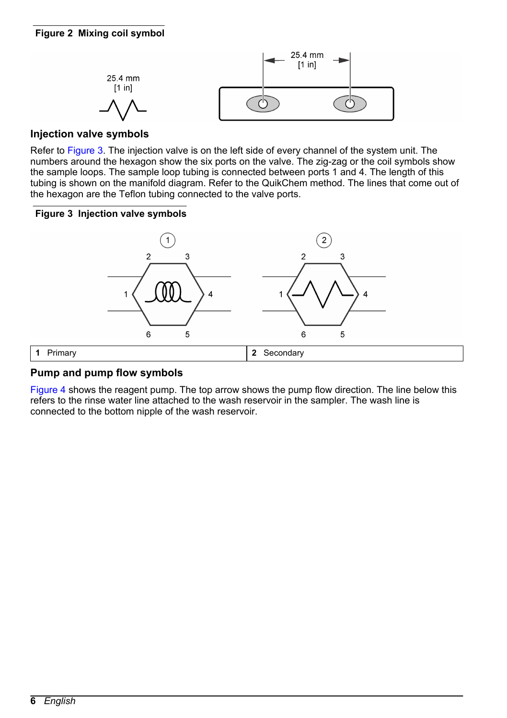<span id="page-5-0"></span>

### **Injection valve symbols**

Refer to Figure 3. The injection valve is on the left side of every channel of the system unit. The numbers around the hexagon show the six ports on the valve. The zig-zag or the coil symbols show the sample loops. The sample loop tubing is connected between ports 1 and 4. The length of this tubing is shown on the manifold diagram. Refer to the QuikChem method. The lines that come out of the hexagon are the Teflon tubing connected to the valve ports.

#### **Figure 3 Injection valve symbols**



#### **Pump and pump flow symbols**

[Figure 4](#page-6-0) shows the reagent pump. The top arrow shows the pump flow direction. The line below this refers to the rinse water line attached to the wash reservoir in the sampler. The wash line is connected to the bottom nipple of the wash reservoir.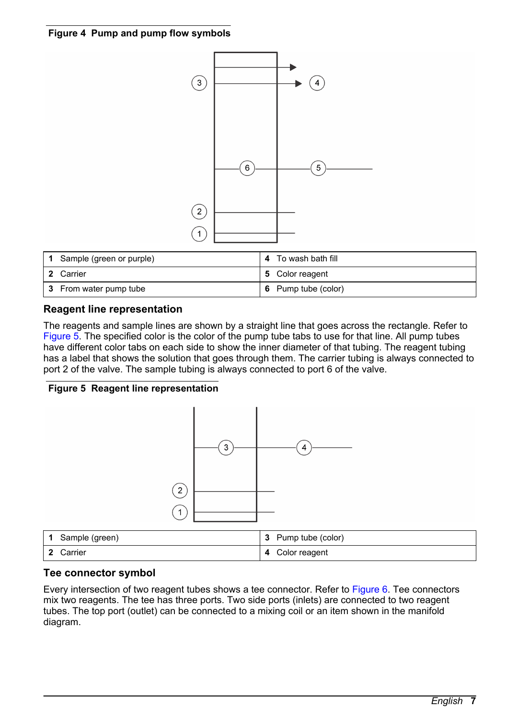#### <span id="page-6-0"></span>**Figure 4 Pump and pump flow symbols**



| 1. | Sample (green or purple) | To wash bath fill   |
|----|--------------------------|---------------------|
|    | 2 Carrier                | 5 Color reagent     |
|    | 3 From water pump tube   | 6 Pump tube (color) |

#### **Reagent line representation**

The reagents and sample lines are shown by a straight line that goes across the rectangle. Refer to Figure 5. The specified color is the color of the pump tube tabs to use for that line. All pump tubes have different color tabs on each side to show the inner diameter of that tubing. The reagent tubing has a label that shows the solution that goes through them. The carrier tubing is always connected to port 2 of the valve. The sample tubing is always connected to port 6 of the valve.

#### **Figure 5 Reagent line representation**



| Sample (green) | Pump tube (color) |
|----------------|-------------------|
| Carrier        | Color reagent     |
| - 2            | 4                 |

#### **Tee connector symbol**

Every intersection of two reagent tubes shows a tee connector. Refer to [Figure 6](#page-7-0). Tee connectors mix two reagents. The tee has three ports. Two side ports (inlets) are connected to two reagent tubes. The top port (outlet) can be connected to a mixing coil or an item shown in the manifold diagram.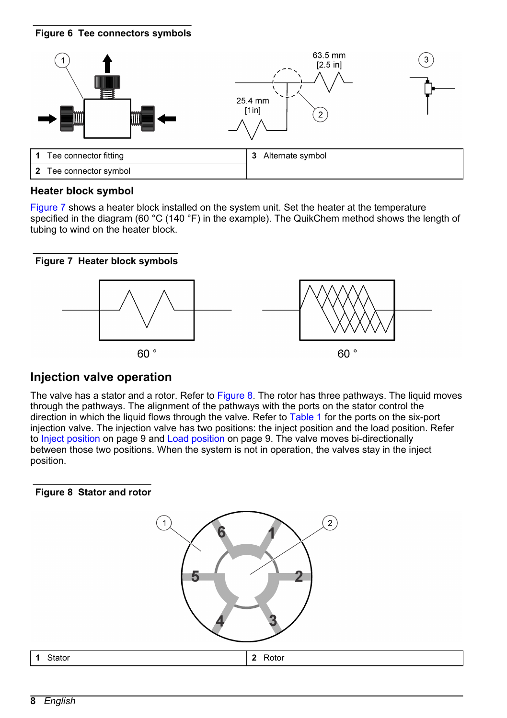#### <span id="page-7-0"></span>**Figure 6 Tee connectors symbols**



#### **Heater block symbol**

Figure 7 shows a heater block installed on the system unit. Set the heater at the temperature specified in the diagram (60 °C (140 °F) in the example). The QuikChem method shows the length of tubing to wind on the heater block.

#### **Figure 7 Heater block symbols**



### **Injection valve operation**

The valve has a stator and a rotor. Refer to Figure 8. The rotor has three pathways. The liquid moves through the pathways. The alignment of the pathways with the ports on the stator control the direction in which the liquid flows through the valve. Refer to [Table 1](#page-8-0) for the ports on the six-port injection valve. The injection valve has two positions: the inject position and the load position. Refer to [Inject position](#page-8-0) on page 9 and [Load position](#page-8-0) on page 9. The valve moves bi-directionally between those two positions. When the system is not in operation, the valves stay in the inject position.

#### **Figure 8 Stator and rotor**

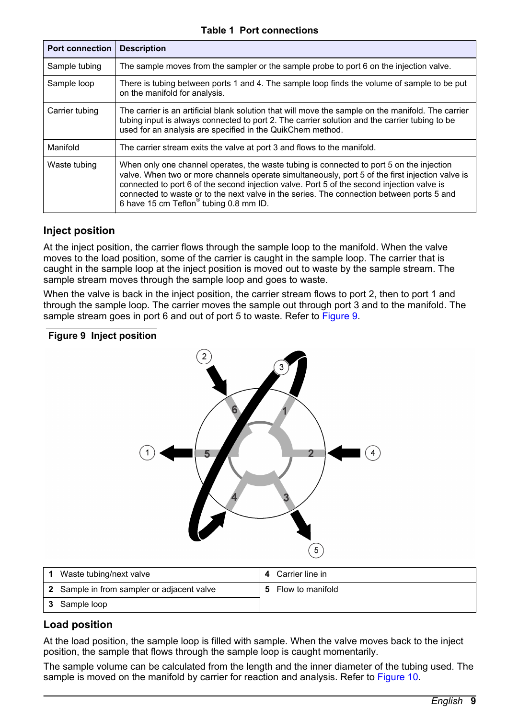|  |  |  |  | <b>Table 1 Port connections</b> |
|--|--|--|--|---------------------------------|
|--|--|--|--|---------------------------------|

<span id="page-8-0"></span>

| <b>Port connection</b> | <b>Description</b>                                                                                                                                                                                                                                                                                                                                                                                                                           |
|------------------------|----------------------------------------------------------------------------------------------------------------------------------------------------------------------------------------------------------------------------------------------------------------------------------------------------------------------------------------------------------------------------------------------------------------------------------------------|
| Sample tubing          | The sample moves from the sampler or the sample probe to port 6 on the injection valve.                                                                                                                                                                                                                                                                                                                                                      |
| Sample loop            | There is tubing between ports 1 and 4. The sample loop finds the volume of sample to be put<br>on the manifold for analysis.                                                                                                                                                                                                                                                                                                                 |
| Carrier tubing         | The carrier is an artificial blank solution that will move the sample on the manifold. The carrier<br>tubing input is always connected to port 2. The carrier solution and the carrier tubing to be<br>used for an analysis are specified in the QuikChem method.                                                                                                                                                                            |
| Manifold               | The carrier stream exits the valve at port 3 and flows to the manifold.                                                                                                                                                                                                                                                                                                                                                                      |
| Waste tubing           | When only one channel operates, the waste tubing is connected to port 5 on the injection<br>valve. When two or more channels operate simultaneously, port 5 of the first injection valve is<br>connected to port 6 of the second injection valve. Port 5 of the second injection valve is<br>connected to waste or to the next valve in the series. The connection between ports 5 and<br>6 have 15 cm Teflon <sup>®</sup> tubing 0.8 mm ID. |

#### **Inject position**

At the inject position, the carrier flows through the sample loop to the manifold. When the valve moves to the load position, some of the carrier is caught in the sample loop. The carrier that is caught in the sample loop at the inject position is moved out to waste by the sample stream. The sample stream moves through the sample loop and goes to waste.

When the valve is back in the inject position, the carrier stream flows to port 2, then to port 1 and through the sample loop. The carrier moves the sample out through port 3 and to the manifold. The sample stream goes in port 6 and out of port 5 to waste. Refer to Figure 9.

#### **Figure 9 Inject position**



| Waste tubing/next valve                    |   | Carrier line in  |
|--------------------------------------------|---|------------------|
| 2 Sample in from sampler or adjacent valve | 5 | Flow to manifold |
| 3 Sample loop                              |   |                  |

#### **Load position**

At the load position, the sample loop is filled with sample. When the valve moves back to the inject position, the sample that flows through the sample loop is caught momentarily.

The sample volume can be calculated from the length and the inner diameter of the tubing used. The sample is moved on the manifold by carrier for reaction and analysis. Refer to [Figure 10](#page-9-0).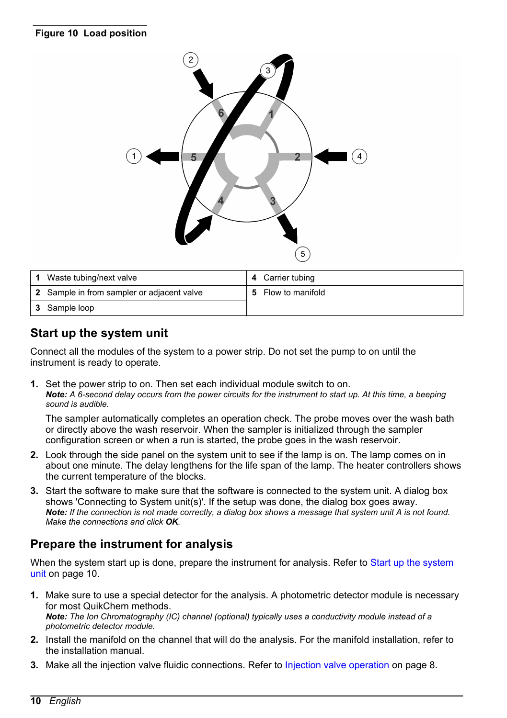#### <span id="page-9-0"></span>**Figure 10 Load position**



| Waste tubing/next valve                    |   | 4 Carrier tubing |
|--------------------------------------------|---|------------------|
| 2 Sample in from sampler or adjacent valve | 5 | Flow to manifold |
| 3 Sample loop                              |   |                  |

### **Start up the system unit**

Connect all the modules of the system to a power strip. Do not set the pump to on until the instrument is ready to operate.

**1.** Set the power strip to on. Then set each individual module switch to on. *Note: A 6-second delay occurs from the power circuits for the instrument to start up. At this time, a beeping sound is audible.*

The sampler automatically completes an operation check. The probe moves over the wash bath or directly above the wash reservoir. When the sampler is initialized through the sampler configuration screen or when a run is started, the probe goes in the wash reservoir.

- **2.** Look through the side panel on the system unit to see if the lamp is on. The lamp comes on in about one minute. The delay lengthens for the life span of the lamp. The heater controllers shows the current temperature of the blocks.
- **3.** Start the software to make sure that the software is connected to the system unit. A dialog box shows 'Connecting to System unit(s)'. If the setup was done, the dialog box goes away. *Note: If the connection is not made correctly, a dialog box shows a message that system unit A is not found. Make the connections and click OK.*

### **Prepare the instrument for analysis**

When the system start up is done, prepare the instrument for analysis. Refer to Start up the system unit on page 10.

- **1.** Make sure to use a special detector for the analysis. A photometric detector module is necessary for most QuikChem methods. *Note: The Ion Chromatography (IC) channel (optional) typically uses a conductivity module instead of a photometric detector module.*
- **2.** Install the manifold on the channel that will do the analysis. For the manifold installation, refer to the installation manual.
- **3.** Make all the injection valve fluidic connections. Refer to [Injection valve operation](#page-7-0) on page 8.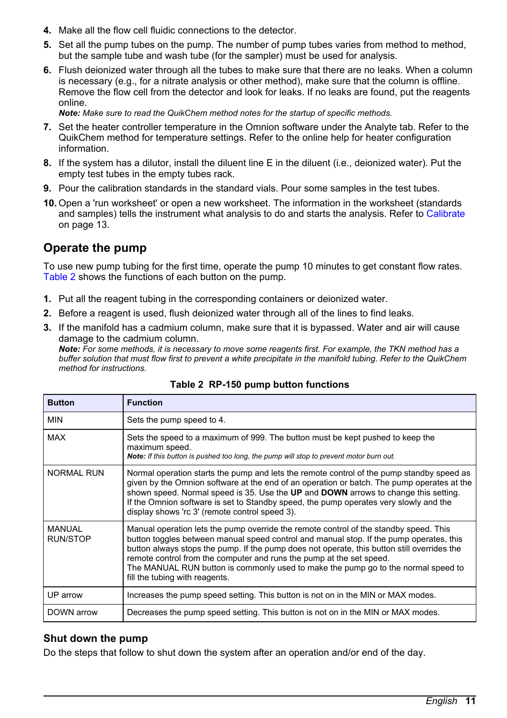- **4.** Make all the flow cell fluidic connections to the detector.
- **5.** Set all the pump tubes on the pump. The number of pump tubes varies from method to method, but the sample tube and wash tube (for the sampler) must be used for analysis.
- **6.** Flush deionized water through all the tubes to make sure that there are no leaks. When a column is necessary (e.g., for a nitrate analysis or other method), make sure that the column is offline. Remove the flow cell from the detector and look for leaks. If no leaks are found, put the reagents online.

*Note: Make sure to read the QuikChem method notes for the startup of specific methods.*

- **7.** Set the heater controller temperature in the Omnion software under the Analyte tab. Refer to the QuikChem method for temperature settings. Refer to the online help for heater configuration information.
- **8.** If the system has a dilutor, install the diluent line E in the diluent (i.e., deionized water). Put the empty test tubes in the empty tubes rack.
- **9.** Pour the calibration standards in the standard vials. Pour some samples in the test tubes.
- **10.** Open a 'run worksheet' or open a new worksheet. The information in the worksheet (standards and samples) tells the instrument what analysis to do and starts the analysis. Refer to [Calibrate](#page-12-0) on page 13.

### **Operate the pump**

To use new pump tubing for the first time, operate the pump 10 minutes to get constant flow rates. Table 2 shows the functions of each button on the pump.

- **1.** Put all the reagent tubing in the corresponding containers or deionized water.
- **2.** Before a reagent is used, flush deionized water through all of the lines to find leaks.
- **3.** If the manifold has a cadmium column, make sure that it is bypassed. Water and air will cause damage to the cadmium column.

*Note: For some methods, it is necessary to move some reagents first. For example, the TKN method has a buffer solution that must flow first to prevent a white precipitate in the manifold tubing. Refer to the QuikChem method for instructions.*

| <b>Button</b>                    | <b>Function</b>                                                                                                                                                                                                                                                                                                                                                                                                                                                                |
|----------------------------------|--------------------------------------------------------------------------------------------------------------------------------------------------------------------------------------------------------------------------------------------------------------------------------------------------------------------------------------------------------------------------------------------------------------------------------------------------------------------------------|
| <b>MIN</b>                       | Sets the pump speed to 4.                                                                                                                                                                                                                                                                                                                                                                                                                                                      |
| <b>MAX</b>                       | Sets the speed to a maximum of 999. The button must be kept pushed to keep the<br>maximum speed.<br>Note: If this button is pushed too long, the pump will stop to prevent motor burn out.                                                                                                                                                                                                                                                                                     |
| <b>NORMAL RUN</b>                | Normal operation starts the pump and lets the remote control of the pump standby speed as<br>given by the Omnion software at the end of an operation or batch. The pump operates at the<br>shown speed. Normal speed is 35. Use the UP and DOWN arrows to change this setting.<br>If the Omnion software is set to Standby speed, the pump operates very slowly and the<br>display shows 'rc 3' (remote control speed 3).                                                      |
| <b>MANUAL</b><br><b>RUN/STOP</b> | Manual operation lets the pump override the remote control of the standby speed. This<br>button toggles between manual speed control and manual stop. If the pump operates, this<br>button always stops the pump. If the pump does not operate, this button still overrides the<br>remote control from the computer and runs the pump at the set speed.<br>The MANUAL RUN button is commonly used to make the pump go to the normal speed to<br>fill the tubing with reagents. |
| UP arrow                         | Increases the pump speed setting. This button is not on in the MIN or MAX modes.                                                                                                                                                                                                                                                                                                                                                                                               |
| DOWN arrow                       | Decreases the pump speed setting. This button is not on in the MIN or MAX modes.                                                                                                                                                                                                                                                                                                                                                                                               |

#### **Table 2 RP-150 pump button functions**

#### **Shut down the pump**

Do the steps that follow to shut down the system after an operation and/or end of the day.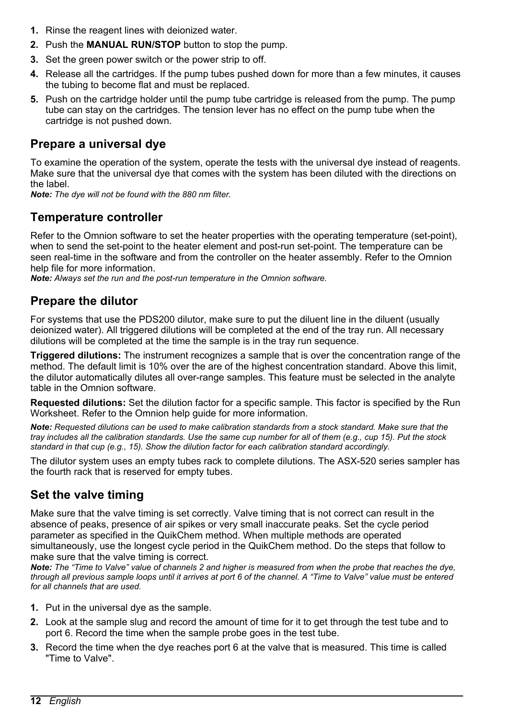- <span id="page-11-0"></span>**1.** Rinse the reagent lines with deionized water.
- **2.** Push the **MANUAL RUN/STOP** button to stop the pump.
- **3.** Set the green power switch or the power strip to off.
- **4.** Release all the cartridges. If the pump tubes pushed down for more than a few minutes, it causes the tubing to become flat and must be replaced.
- **5.** Push on the cartridge holder until the pump tube cartridge is released from the pump. The pump tube can stay on the cartridges. The tension lever has no effect on the pump tube when the cartridge is not pushed down.

### **Prepare a universal dye**

To examine the operation of the system, operate the tests with the universal dye instead of reagents. Make sure that the universal dye that comes with the system has been diluted with the directions on the label.

*Note: The dye will not be found with the 880 nm filter.*

### **Temperature controller**

Refer to the Omnion software to set the heater properties with the operating temperature (set-point), when to send the set-point to the heater element and post-run set-point. The temperature can be seen real-time in the software and from the controller on the heater assembly. Refer to the Omnion help file for more information.

*Note: Always set the run and the post-run temperature in the Omnion software.*

### **Prepare the dilutor**

For systems that use the PDS200 dilutor, make sure to put the diluent line in the diluent (usually deionized water). All triggered dilutions will be completed at the end of the tray run. All necessary dilutions will be completed at the time the sample is in the tray run sequence.

**Triggered dilutions:** The instrument recognizes a sample that is over the concentration range of the method. The default limit is 10% over the are of the highest concentration standard. Above this limit, the dilutor automatically dilutes all over-range samples. This feature must be selected in the analyte table in the Omnion software.

**Requested dilutions:** Set the dilution factor for a specific sample. This factor is specified by the Run Worksheet. Refer to the Omnion help guide for more information.

*Note: Requested dilutions can be used to make calibration standards from a stock standard. Make sure that the tray includes all the calibration standards. Use the same cup number for all of them (e.g., cup 15). Put the stock standard in that cup (e.g., 15). Show the dilution factor for each calibration standard accordingly.*

The dilutor system uses an empty tubes rack to complete dilutions. The ASX-520 series sampler has the fourth rack that is reserved for empty tubes.

### **Set the valve timing**

Make sure that the valve timing is set correctly. Valve timing that is not correct can result in the absence of peaks, presence of air spikes or very small inaccurate peaks. Set the cycle period parameter as specified in the QuikChem method. When multiple methods are operated simultaneously, use the longest cycle period in the QuikChem method. Do the steps that follow to make sure that the valve timing is correct.

*Note: The "Time to Valve" value of channels 2 and higher is measured from when the probe that reaches the dye, through all previous sample loops until it arrives at port 6 of the channel. A "Time to Valve" value must be entered for all channels that are used.*

- **1.** Put in the universal dye as the sample.
- **2.** Look at the sample slug and record the amount of time for it to get through the test tube and to port 6. Record the time when the sample probe goes in the test tube.
- **3.** Record the time when the dye reaches port 6 at the valve that is measured. This time is called "Time to Valve".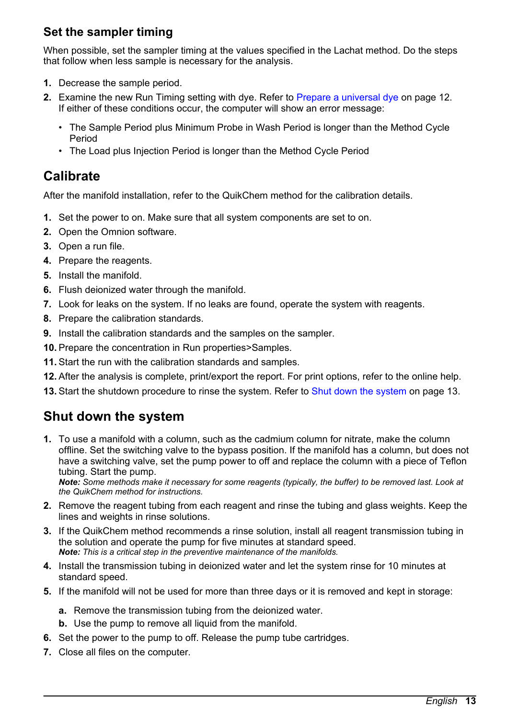### <span id="page-12-0"></span>**Set the sampler timing**

When possible, set the sampler timing at the values specified in the Lachat method. Do the steps that follow when less sample is necessary for the analysis.

- **1.** Decrease the sample period.
- **2.** Examine the new Run Timing setting with dye. Refer to [Prepare a universal dye](#page-11-0) on page 12. If either of these conditions occur, the computer will show an error message:
	- The Sample Period plus Minimum Probe in Wash Period is longer than the Method Cycle Period
	- The Load plus Injection Period is longer than the Method Cycle Period

# **Calibrate**

After the manifold installation, refer to the QuikChem method for the calibration details.

- **1.** Set the power to on. Make sure that all system components are set to on.
- **2.** Open the Omnion software.
- **3.** Open a run file.
- **4.** Prepare the reagents.
- **5.** Install the manifold.
- **6.** Flush deionized water through the manifold.
- **7.** Look for leaks on the system. If no leaks are found, operate the system with reagents.
- **8.** Prepare the calibration standards.
- **9.** Install the calibration standards and the samples on the sampler.
- **10.** Prepare the concentration in Run properties>Samples.
- **11.** Start the run with the calibration standards and samples.
- **12.** After the analysis is complete, print/export the report. For print options, refer to the online help.
- **13.** Start the shutdown procedure to rinse the system. Refer to Shut down the system on page 13.

# **Shut down the system**

**1.** To use a manifold with a column, such as the cadmium column for nitrate, make the column offline. Set the switching valve to the bypass position. If the manifold has a column, but does not have a switching valve, set the pump power to off and replace the column with a piece of Teflon tubing. Start the pump.

*Note: Some methods make it necessary for some reagents (typically, the buffer) to be removed last. Look at the QuikChem method for instructions.*

- **2.** Remove the reagent tubing from each reagent and rinse the tubing and glass weights. Keep the lines and weights in rinse solutions.
- **3.** If the QuikChem method recommends a rinse solution, install all reagent transmission tubing in the solution and operate the pump for five minutes at standard speed. *Note: This is a critical step in the preventive maintenance of the manifolds.*
- **4.** Install the transmission tubing in deionized water and let the system rinse for 10 minutes at standard speed.
- **5.** If the manifold will not be used for more than three days or it is removed and kept in storage:
	- **a.** Remove the transmission tubing from the deionized water.
	- **b.** Use the pump to remove all liquid from the manifold.
- **6.** Set the power to the pump to off. Release the pump tube cartridges.
- **7.** Close all files on the computer.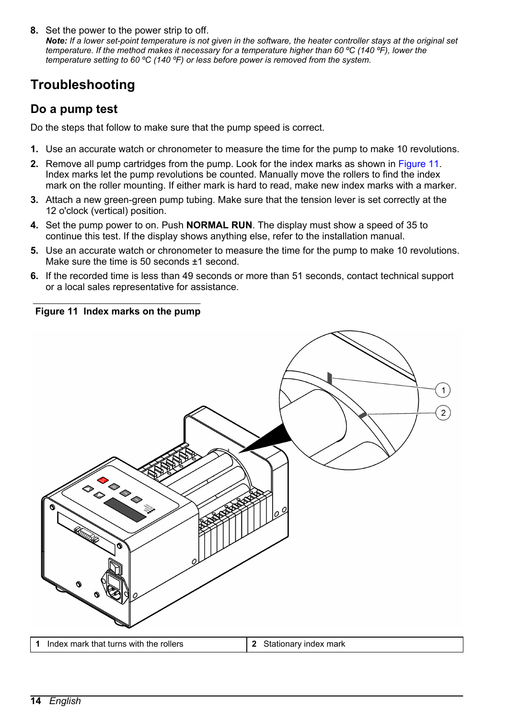<span id="page-13-0"></span>**8.** Set the power to the power strip to off.

*Note: If a lower set-point temperature is not given in the software, the heater controller stays at the original set temperature. If the method makes it necessary for a temperature higher than 60 ºC (140 ºF), lower the temperature setting to 60 ºC (140 ºF) or less before power is removed from the system.*

# **Troubleshooting**

### **Do a pump test**

Do the steps that follow to make sure that the pump speed is correct.

- **1.** Use an accurate watch or chronometer to measure the time for the pump to make 10 revolutions.
- **2.** Remove all pump cartridges from the pump. Look for the index marks as shown in Figure 11. Index marks let the pump revolutions be counted. Manually move the rollers to find the index mark on the roller mounting. If either mark is hard to read, make new index marks with a marker.
- **3.** Attach a new green-green pump tubing. Make sure that the tension lever is set correctly at the 12 o'clock (vertical) position.
- **4.** Set the pump power to on. Push **NORMAL RUN**. The display must show a speed of 35 to continue this test. If the display shows anything else, refer to the installation manual.
- **5.** Use an accurate watch or chronometer to measure the time for the pump to make 10 revolutions. Make sure the time is 50 seconds ±1 second.
- **6.** If the recorded time is less than 49 seconds or more than 51 seconds, contact technical support or a local sales representative for assistance.

#### **Figure 11 Index marks on the pump**

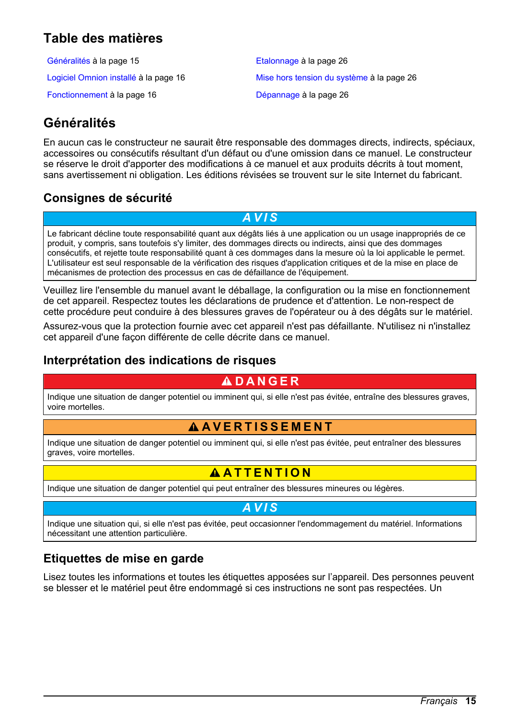# <span id="page-14-0"></span>**Table des matières**

Généralités à la page 15 de la page 26 de la page 26 [Fonctionnement](#page-15-0) à la page 16 [Dépannage](#page-25-0) à la page 26

[Logiciel Omnion installé](#page-15-0) à la page 16 [Mise hors tension du système](#page-25-0) à la page 26

# **Généralités**

En aucun cas le constructeur ne saurait être responsable des dommages directs, indirects, spéciaux, accessoires ou consécutifs résultant d'un défaut ou d'une omission dans ce manuel. Le constructeur se réserve le droit d'apporter des modifications à ce manuel et aux produits décrits à tout moment, sans avertissement ni obligation. Les éditions révisées se trouvent sur le site Internet du fabricant.

### **Consignes de sécurité**

*A V I S*

Le fabricant décline toute responsabilité quant aux dégâts liés à une application ou un usage inappropriés de ce produit, y compris, sans toutefois s'y limiter, des dommages directs ou indirects, ainsi que des dommages consécutifs, et rejette toute responsabilité quant à ces dommages dans la mesure où la loi applicable le permet. L'utilisateur est seul responsable de la vérification des risques d'application critiques et de la mise en place de mécanismes de protection des processus en cas de défaillance de l'équipement.

Veuillez lire l'ensemble du manuel avant le déballage, la configuration ou la mise en fonctionnement de cet appareil. Respectez toutes les déclarations de prudence et d'attention. Le non-respect de cette procédure peut conduire à des blessures graves de l'opérateur ou à des dégâts sur le matériel.

Assurez-vous que la protection fournie avec cet appareil n'est pas défaillante. N'utilisez ni n'installez cet appareil d'une façon différente de celle décrite dans ce manuel.

### **Interprétation des indications de risques**

### **D A N G E R**

Indique une situation de danger potentiel ou imminent qui, si elle n'est pas évitée, entraîne des blessures graves, voire mortelles.

### **A AVERTISSEMENT**

Indique une situation de danger potentiel ou imminent qui, si elle n'est pas évitée, peut entraîner des blessures graves, voire mortelles.

### **AATTENTION**

Indique une situation de danger potentiel qui peut entraîner des blessures mineures ou légères.

*A V I S*

Indique une situation qui, si elle n'est pas évitée, peut occasionner l'endommagement du matériel. Informations nécessitant une attention particulière.

### **Etiquettes de mise en garde**

Lisez toutes les informations et toutes les étiquettes apposées sur l'appareil. Des personnes peuvent se blesser et le matériel peut être endommagé si ces instructions ne sont pas respectées. Un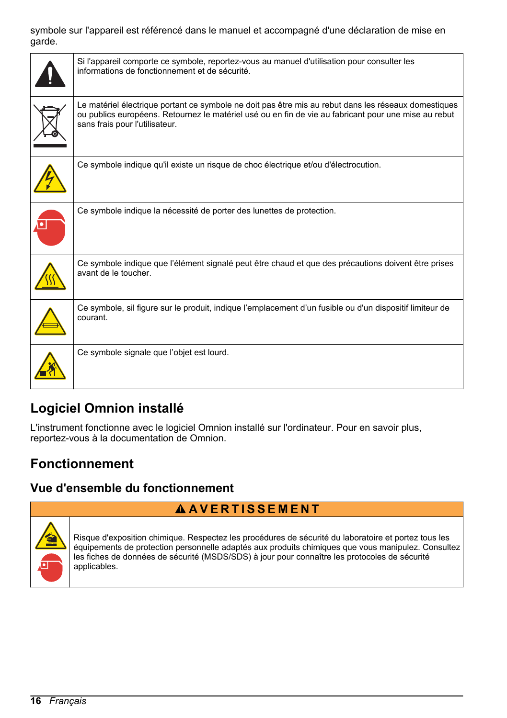#### <span id="page-15-0"></span>symbole sur l'appareil est référencé dans le manuel et accompagné d'une déclaration de mise en garde.

| Si l'appareil comporte ce symbole, reportez-vous au manuel d'utilisation pour consulter les<br>informations de fonctionnement et de sécurité.                                                                                                  |
|------------------------------------------------------------------------------------------------------------------------------------------------------------------------------------------------------------------------------------------------|
| Le matériel électrique portant ce symbole ne doit pas être mis au rebut dans les réseaux domestiques<br>ou publics européens. Retournez le matériel usé ou en fin de vie au fabricant pour une mise au rebut<br>sans frais pour l'utilisateur. |
| Ce symbole indique qu'il existe un risque de choc électrique et/ou d'électrocution.                                                                                                                                                            |
| Ce symbole indique la nécessité de porter des lunettes de protection.                                                                                                                                                                          |
| Ce symbole indique que l'élément signalé peut être chaud et que des précautions doivent être prises<br>avant de le toucher.                                                                                                                    |
| Ce symbole, sil figure sur le produit, indique l'emplacement d'un fusible ou d'un dispositif limiteur de<br>courant.                                                                                                                           |
| Ce symbole signale que l'objet est lourd.                                                                                                                                                                                                      |

# **Logiciel Omnion installé**

L'instrument fonctionne avec le logiciel Omnion installé sur l'ordinateur. Pour en savoir plus, reportez-vous à la documentation de Omnion.

# **Fonctionnement**

### **Vue d'ensemble du fonctionnement**



Risque d'exposition chimique. Respectez les procédures de sécurité du laboratoire et portez tous les équipements de protection personnelle adaptés aux produits chimiques que vous manipulez. Consultez les fiches de données de sécurité (MSDS/SDS) à jour pour connaître les protocoles de sécurité applicables.

**A AVERTISSEMENT**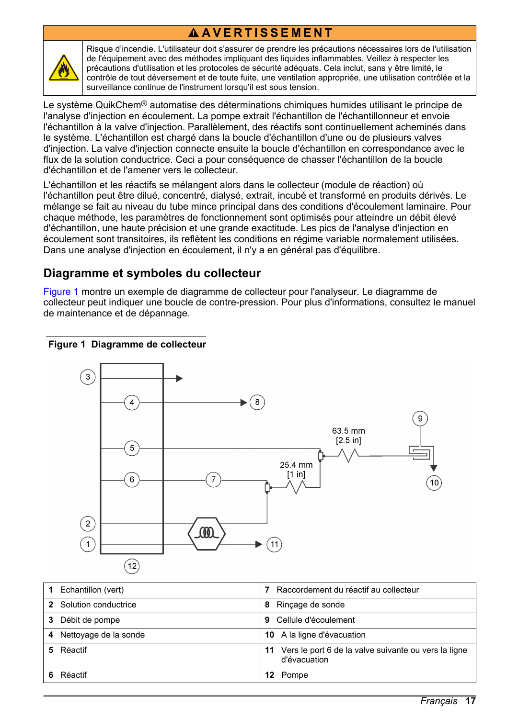# **A AVERTISSEMENT**



Risque d'incendie. L'utilisateur doit s'assurer de prendre les précautions nécessaires lors de l'utilisation de l'équipement avec des méthodes impliquant des liquides inflammables. Veillez à respecter les précautions d'utilisation et les protocoles de sécurité adéquats. Cela inclut, sans y être limité, le contrôle de tout déversement et de toute fuite, une ventilation appropriée, une utilisation contrôlée et la surveillance continue de l'instrument lorsqu'il est sous tension.

Le système QuikChem<sup>®</sup> automatise des déterminations chimiques humides utilisant le principe de l'analyse d'injection en écoulement. La pompe extrait l'échantillon de l'échantillonneur et envoie l'échantillon à la valve d'injection. Parallèlement, des réactifs sont continuellement acheminés dans le système. L'échantillon est chargé dans la boucle d'échantillon d'une ou de plusieurs valves d'injection. La valve d'injection connecte ensuite la boucle d'échantillon en correspondance avec le flux de la solution conductrice. Ceci a pour conséquence de chasser l'échantillon de la boucle d'échantillon et de l'amener vers le collecteur.

L'échantillon et les réactifs se mélangent alors dans le collecteur (module de réaction) où l'échantillon peut être dilué, concentré, dialysé, extrait, incubé et transformé en produits dérivés. Le mélange se fait au niveau du tube mince principal dans des conditions d'écoulement laminaire. Pour chaque méthode, les paramètres de fonctionnement sont optimisés pour atteindre un débit élevé d'échantillon, une haute précision et une grande exactitude. Les pics de l'analyse d'injection en écoulement sont transitoires, ils reflètent les conditions en régime variable normalement utilisées. Dans une analyse d'injection en écoulement, il n'y a en général pas d'équilibre.

### **Diagramme et symboles du collecteur**

Figure 1 montre un exemple de diagramme de collecteur pour l'analyseur. Le diagramme de collecteur peut indiquer une boucle de contre-pression. Pour plus d'informations, consultez le manuel de maintenance et de dépannage.

#### **Figure 1 Diagramme de collecteur**



| Echantillon (vert)         | Raccordement du réactif au collecteur                                      |
|----------------------------|----------------------------------------------------------------------------|
| Solution conductrice       | Rincage de sonde<br>8                                                      |
| Débit de pompe<br>3        | Cellule d'écoulement<br>9                                                  |
| Nettoyage de la sonde<br>4 | 10 A la ligne d'évacuation                                                 |
| Réactif                    | Vers le port 6 de la valve suivante ou vers la ligne<br>11<br>d'évacuation |
| Réactif                    | 12 Pompe                                                                   |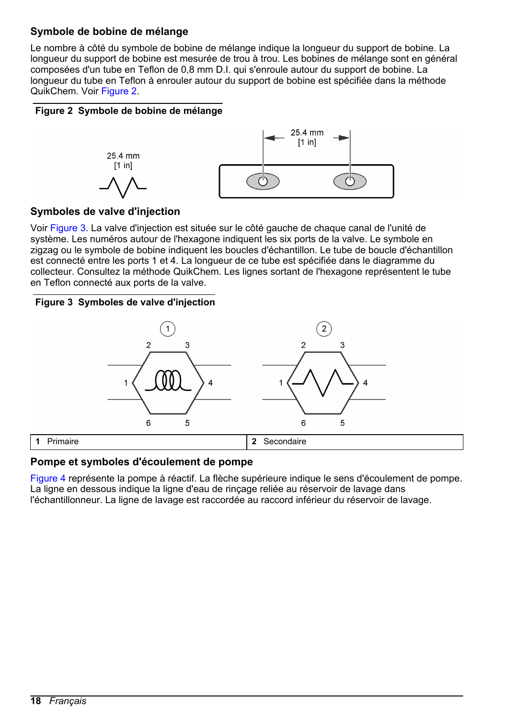### **Symbole de bobine de mélange**

Le nombre à côté du symbole de bobine de mélange indique la longueur du support de bobine. La longueur du support de bobine est mesurée de trou à trou. Les bobines de mélange sont en général composées d'un tube en Teflon de 0,8 mm D.I. qui s'enroule autour du support de bobine. La longueur du tube en Teflon à enrouler autour du support de bobine est spécifiée dans la méthode QuikChem. Voir Figure 2.

### **Figure 2 Symbole de bobine de mélange**



### **Symboles de valve d'injection**

Voir Figure 3. La valve d'injection est située sur le côté gauche de chaque canal de l'unité de système. Les numéros autour de l'hexagone indiquent les six ports de la valve. Le symbole en zigzag ou le symbole de bobine indiquent les boucles d'échantillon. Le tube de boucle d'échantillon est connecté entre les ports 1 et 4. La longueur de ce tube est spécifiée dans le diagramme du collecteur. Consultez la méthode QuikChem. Les lignes sortant de l'hexagone représentent le tube en Teflon connecté aux ports de la valve.

#### **Figure 3 Symboles de valve d'injection**



#### **Pompe et symboles d'écoulement de pompe**

[Figure 4](#page-18-0) représente la pompe à réactif. La flèche supérieure indique le sens d'écoulement de pompe. La ligne en dessous indique la ligne d'eau de rinçage reliée au réservoir de lavage dans l'échantillonneur. La ligne de lavage est raccordée au raccord inférieur du réservoir de lavage.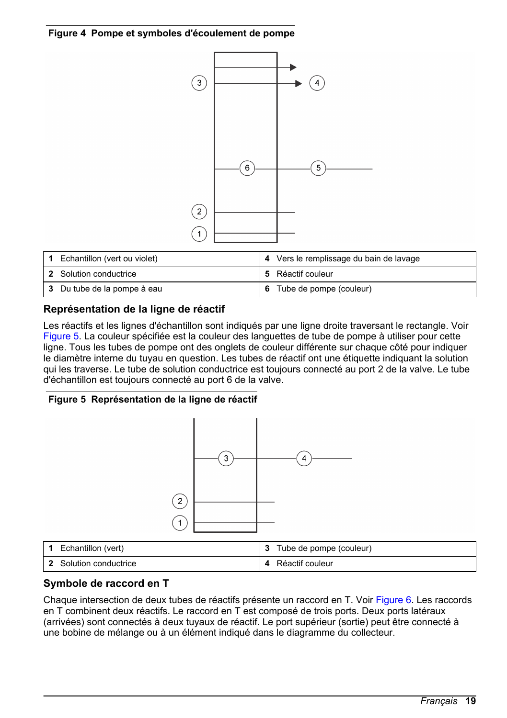<span id="page-18-0"></span>**Figure 4 Pompe et symboles d'écoulement de pompe**



| Echantillon (vert ou violet) | 4 Vers le remplissage du bain de lavage |
|------------------------------|-----------------------------------------|
| 2 Solution conductrice       | 5 Réactif couleur                       |
| 3 Du tube de la pompe à eau  | 6 Tube de pompe (couleur)               |

### **Représentation de la ligne de réactif**

Les réactifs et les lignes d'échantillon sont indiqués par une ligne droite traversant le rectangle. Voir Figure 5. La couleur spécifiée est la couleur des languettes de tube de pompe à utiliser pour cette ligne. Tous les tubes de pompe ont des onglets de couleur différente sur chaque côté pour indiquer le diamètre interne du tuyau en question. Les tubes de réactif ont une étiquette indiquant la solution qui les traverse. Le tube de solution conductrice est toujours connecté au port 2 de la valve. Le tube d'échantillon est toujours connecté au port 6 de la valve.

#### **Figure 5 Représentation de la ligne de réactif**



### **Symbole de raccord en T**

Chaque intersection de deux tubes de réactifs présente un raccord en T. Voir [Figure 6.](#page-19-0) Les raccords en T combinent deux réactifs. Le raccord en T est composé de trois ports. Deux ports latéraux (arrivées) sont connectés à deux tuyaux de réactif. Le port supérieur (sortie) peut être connecté à une bobine de mélange ou à un élément indiqué dans le diagramme du collecteur.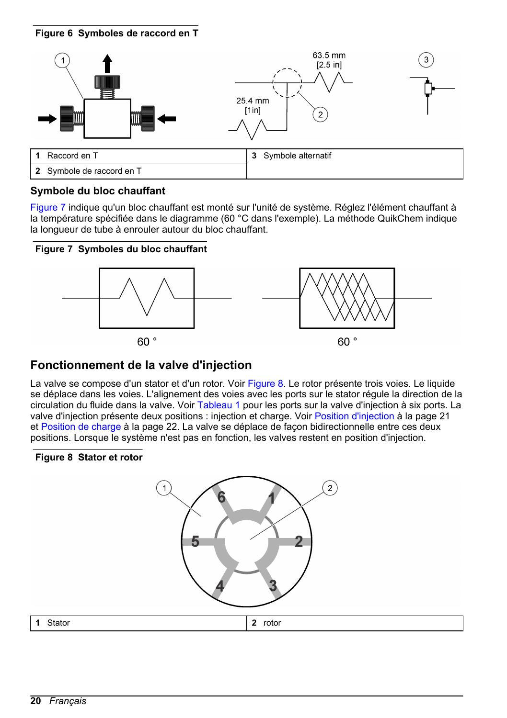#### <span id="page-19-0"></span>**Figure 6 Symboles de raccord en T**



#### **Symbole du bloc chauffant**

Figure 7 indique qu'un bloc chauffant est monté sur l'unité de système. Réglez l'élément chauffant à la température spécifiée dans le diagramme (60 °C dans l'exemple). La méthode QuikChem indique la longueur de tube à enrouler autour du bloc chauffant.

#### **Figure 7 Symboles du bloc chauffant**



### **Fonctionnement de la valve d'injection**

La valve se compose d'un stator et d'un rotor. Voir Figure 8. Le rotor présente trois voies. Le liquide se déplace dans les voies. L'alignement des voies avec les ports sur le stator régule la direction de la circulation du fluide dans la valve. Voir [Tableau 1](#page-20-0) pour les ports sur la valve d'injection à six ports. La valve d'injection présente deux positions : injection et charge. Voir [Position d'injection](#page-20-0) à la page 21 et [Position de charge](#page-21-0) à la page 22. La valve se déplace de façon bidirectionnelle entre ces deux positions. Lorsque le système n'est pas en fonction, les valves restent en position d'injection.

#### **Figure 8 Stator et rotor**

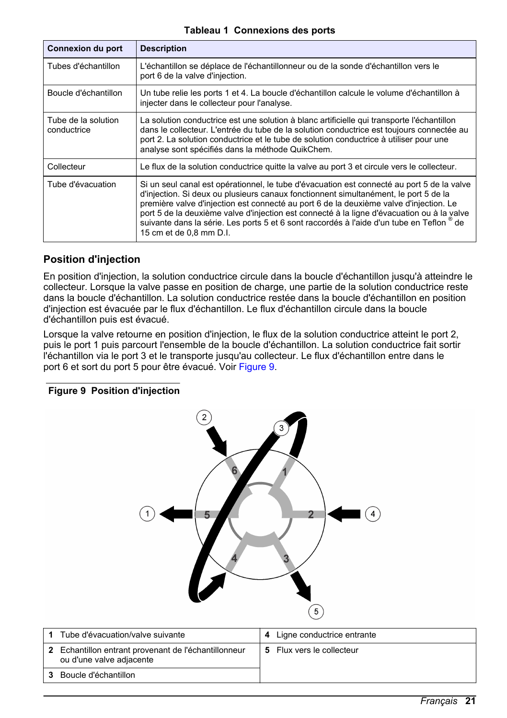#### **Tableau 1 Connexions des ports**

<span id="page-20-0"></span>

| Connexion du port                  | <b>Description</b>                                                                                                                                                                                                                                                                                                                                                                                                                                                                                 |
|------------------------------------|----------------------------------------------------------------------------------------------------------------------------------------------------------------------------------------------------------------------------------------------------------------------------------------------------------------------------------------------------------------------------------------------------------------------------------------------------------------------------------------------------|
| Tubes d'échantillon                | L'échantillon se déplace de l'échantillonneur ou de la sonde d'échantillon vers le<br>port 6 de la valve d'injection.                                                                                                                                                                                                                                                                                                                                                                              |
| Boucle d'échantillon               | Un tube relie les ports 1 et 4. La boucle d'échantillon calcule le volume d'échantillon à<br>injecter dans le collecteur pour l'analyse.                                                                                                                                                                                                                                                                                                                                                           |
| Tube de la solution<br>conductrice | La solution conductrice est une solution à blanc artificielle qui transporte l'échantillon<br>dans le collecteur. L'entrée du tube de la solution conductrice est toujours connectée au<br>port 2. La solution conductrice et le tube de solution conductrice à utiliser pour une<br>analyse sont spécifiés dans la méthode QuikChem.                                                                                                                                                              |
| Collecteur                         | Le flux de la solution conductrice quitte la valve au port 3 et circule vers le collecteur.                                                                                                                                                                                                                                                                                                                                                                                                        |
| Tube d'évacuation                  | Si un seul canal est opérationnel, le tube d'évacuation est connecté au port 5 de la valve<br>d'injection. Si deux ou plusieurs canaux fonctionnent simultanément, le port 5 de la<br>première valve d'injection est connecté au port 6 de la deuxième valve d'injection. Le<br>port 5 de la deuxième valve d'injection est connecté à la ligne d'évacuation ou à la valve<br>suivante dans la série. Les ports 5 et 6 sont raccordés à l'aide d'un tube en Teflon ® de<br>15 cm et de 0.8 mm D.I. |

#### **Position d'injection**

En position d'injection, la solution conductrice circule dans la boucle d'échantillon jusqu'à atteindre le collecteur. Lorsque la valve passe en position de charge, une partie de la solution conductrice reste dans la boucle d'échantillon. La solution conductrice restée dans la boucle d'échantillon en position d'injection est évacuée par le flux d'échantillon. Le flux d'échantillon circule dans la boucle d'échantillon puis est évacué.

Lorsque la valve retourne en position d'injection, le flux de la solution conductrice atteint le port 2, puis le port 1 puis parcourt l'ensemble de la boucle d'échantillon. La solution conductrice fait sortir l'échantillon via le port 3 et le transporte jusqu'au collecteur. Le flux d'échantillon entre dans le port 6 et sort du port 5 pour être évacué. Voir Figure 9.

### **Figure 9 Position d'injection**



| Tube d'évacuation/valve suivante                                                 | 4 | Ligne conductrice entrante |
|----------------------------------------------------------------------------------|---|----------------------------|
| 2 Echantillon entrant provenant de l'échantillonneur<br>ou d'une valve adjacente |   | 5 Flux vers le collecteur  |
| Boucle d'échantillon                                                             |   |                            |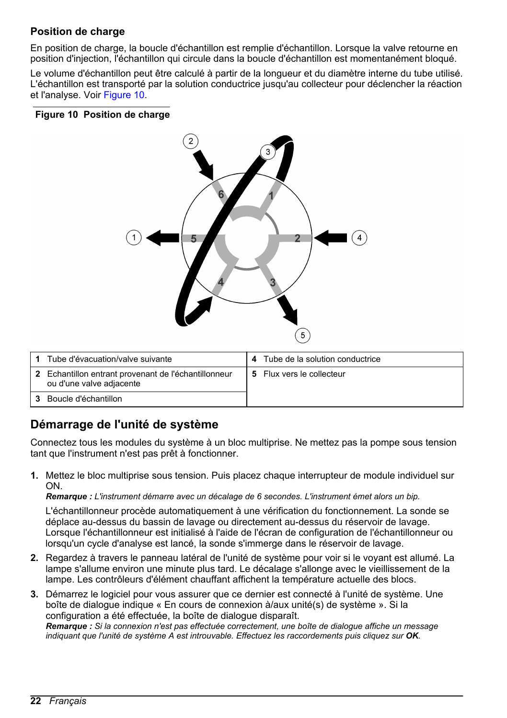### <span id="page-21-0"></span>**Position de charge**

En position de charge, la boucle d'échantillon est remplie d'échantillon. Lorsque la valve retourne en position d'injection, l'échantillon qui circule dans la boucle d'échantillon est momentanément bloqué.

Le volume d'échantillon peut être calculé à partir de la longueur et du diamètre interne du tube utilisé. L'échantillon est transporté par la solution conductrice jusqu'au collecteur pour déclencher la réaction et l'analyse. Voir Figure 10.

#### **Figure 10 Position de charge**



| Tube d'évacuation/valve suivante                                                 | Tube de la solution conductrice |
|----------------------------------------------------------------------------------|---------------------------------|
| 2 Echantillon entrant provenant de l'échantillonneur<br>ou d'une valve adjacente | 5 Flux vers le collecteur       |
| Boucle d'échantillon                                                             |                                 |

### **Démarrage de l'unité de système**

Connectez tous les modules du système à un bloc multiprise. Ne mettez pas la pompe sous tension tant que l'instrument n'est pas prêt à fonctionner.

**1.** Mettez le bloc multiprise sous tension. Puis placez chaque interrupteur de module individuel sur ON.

*Remarque : L'instrument démarre avec un décalage de 6 secondes. L'instrument émet alors un bip.*

L'échantillonneur procède automatiquement à une vérification du fonctionnement. La sonde se déplace au-dessus du bassin de lavage ou directement au-dessus du réservoir de lavage. Lorsque l'échantillonneur est initialisé à l'aide de l'écran de configuration de l'échantillonneur ou lorsqu'un cycle d'analyse est lancé, la sonde s'immerge dans le réservoir de lavage.

- **2.** Regardez à travers le panneau latéral de l'unité de système pour voir si le voyant est allumé. La lampe s'allume environ une minute plus tard. Le décalage s'allonge avec le vieillissement de la lampe. Les contrôleurs d'élément chauffant affichent la température actuelle des blocs.
- **3.** Démarrez le logiciel pour vous assurer que ce dernier est connecté à l'unité de système. Une boîte de dialogue indique « En cours de connexion à/aux unité(s) de système ». Si la configuration a été effectuée, la boîte de dialogue disparaît. *Remarque : Si la connexion n'est pas effectuée correctement, une boîte de dialogue affiche un message indiquant que l'unité de système A est introuvable. Effectuez les raccordements puis cliquez sur OK*.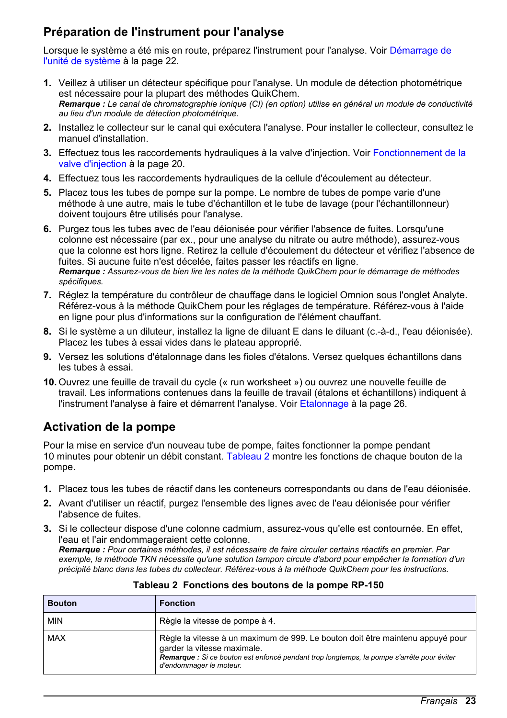### **Préparation de l'instrument pour l'analyse**

Lorsque le système a été mis en route, préparez l'instrument pour l'analyse. Voir [Démarrage de](#page-21-0) [l'unité de système](#page-21-0) à la page 22.

- **1.** Veillez à utiliser un détecteur spécifique pour l'analyse. Un module de détection photométrique est nécessaire pour la plupart des méthodes QuikChem. *Remarque : Le canal de chromatographie ionique (CI) (en option) utilise en général un module de conductivité au lieu d'un module de détection photométrique.*
- **2.** Installez le collecteur sur le canal qui exécutera l'analyse. Pour installer le collecteur, consultez le manuel d'installation.
- **3.** Effectuez tous les raccordements hydrauliques à la valve d'injection. Voir [Fonctionnement de la](#page-19-0) [valve d'injection](#page-19-0) à la page 20.
- **4.** Effectuez tous les raccordements hydrauliques de la cellule d'écoulement au détecteur.
- **5.** Placez tous les tubes de pompe sur la pompe. Le nombre de tubes de pompe varie d'une méthode à une autre, mais le tube d'échantillon et le tube de lavage (pour l'échantillonneur) doivent toujours être utilisés pour l'analyse.
- **6.** Purgez tous les tubes avec de l'eau déionisée pour vérifier l'absence de fuites. Lorsqu'une colonne est nécessaire (par ex., pour une analyse du nitrate ou autre méthode), assurez-vous que la colonne est hors ligne. Retirez la cellule d'écoulement du détecteur et vérifiez l'absence de fuites. Si aucune fuite n'est décelée, faites passer les réactifs en ligne. *Remarque : Assurez-vous de bien lire les notes de la méthode QuikChem pour le démarrage de méthodes spécifiques.*
- **7.** Réglez la température du contrôleur de chauffage dans le logiciel Omnion sous l'onglet Analyte. Référez-vous à la méthode QuikChem pour les réglages de température. Référez-vous à l'aide en ligne pour plus d'informations sur la configuration de l'élément chauffant.
- **8.** Si le système a un diluteur, installez la ligne de diluant E dans le diluant (c.-à-d., l'eau déionisée). Placez les tubes à essai vides dans le plateau approprié.
- **9.** Versez les solutions d'étalonnage dans les fioles d'étalons. Versez quelques échantillons dans les tubes à essai.
- **10.** Ouvrez une feuille de travail du cycle (« run worksheet ») ou ouvrez une nouvelle feuille de travail. Les informations contenues dans la feuille de travail (étalons et échantillons) indiquent à l'instrument l'analyse à faire et démarrent l'analyse. Voir [Etalonnage](#page-25-0) à la page 26.

### **Activation de la pompe**

Pour la mise en service d'un nouveau tube de pompe, faites fonctionner la pompe pendant 10 minutes pour obtenir un débit constant. Tableau 2 montre les fonctions de chaque bouton de la pompe.

- **1.** Placez tous les tubes de réactif dans les conteneurs correspondants ou dans de l'eau déionisée.
- **2.** Avant d'utiliser un réactif, purgez l'ensemble des lignes avec de l'eau déionisée pour vérifier l'absence de fuites.
- **3.** Si le collecteur dispose d'une colonne cadmium, assurez-vous qu'elle est contournée. En effet l'eau et l'air endommageraient cette colonne.

*Remarque : Pour certaines méthodes, il est nécessaire de faire circuler certains réactifs en premier. Par exemple, la méthode TKN nécessite qu'une solution tampon circule d'abord pour empêcher la formation d'un précipité blanc dans les tubes du collecteur. Référez-vous à la méthode QuikChem pour les instructions.*

| <b>Bouton</b> | <b>Fonction</b>                                                                                                                                                                                                                       |  |
|---------------|---------------------------------------------------------------------------------------------------------------------------------------------------------------------------------------------------------------------------------------|--|
| MIN           | Règle la vitesse de pompe à 4.                                                                                                                                                                                                        |  |
| MAX           | Règle la vitesse à un maximum de 999. Le bouton doit être maintenu appuyé pour<br>garder la vitesse maximale.<br>Remarque : Si ce bouton est enfoncé pendant trop longtemps, la pompe s'arrête pour éviter<br>d'endommager le moteur. |  |

|  |  |  | Tableau 2 Fonctions des boutons de la pompe RP-150 |  |
|--|--|--|----------------------------------------------------|--|
|--|--|--|----------------------------------------------------|--|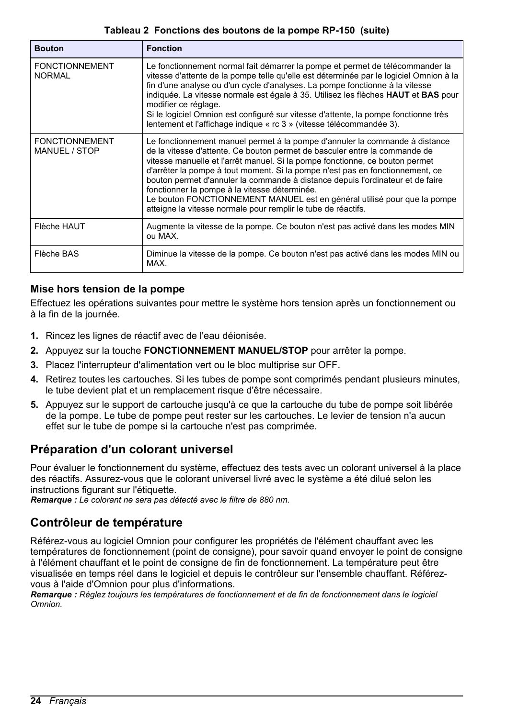#### **Tableau 2 Fonctions des boutons de la pompe RP-150 (suite)**

<span id="page-23-0"></span>

| <b>Bouton</b>                          | <b>Fonction</b>                                                                                                                                                                                                                                                                                                                                                                                                                                                                                                                                                                                            |
|----------------------------------------|------------------------------------------------------------------------------------------------------------------------------------------------------------------------------------------------------------------------------------------------------------------------------------------------------------------------------------------------------------------------------------------------------------------------------------------------------------------------------------------------------------------------------------------------------------------------------------------------------------|
| <b>FONCTIONNEMENT</b><br><b>NORMAL</b> | Le fonctionnement normal fait démarrer la pompe et permet de télécommander la<br>vitesse d'attente de la pompe telle qu'elle est déterminée par le logiciel Omnion à la<br>fin d'une analyse ou d'un cycle d'analyses. La pompe fonctionne à la vitesse<br>indiquée. La vitesse normale est égale à 35. Utilisez les flèches <b>HAUT</b> et <b>BAS</b> pour<br>modifier ce réglage.<br>Si le logiciel Omnion est configuré sur vitesse d'attente, la pompe fonctionne très<br>lentement et l'affichage indique « rc 3 » (vitesse télécommandée 3).                                                         |
| <b>FONCTIONNEMENT</b><br>MANUEL / STOP | Le fonctionnement manuel permet à la pompe d'annuler la commande à distance<br>de la vitesse d'attente. Ce bouton permet de basculer entre la commande de<br>vitesse manuelle et l'arrêt manuel. Si la pompe fonctionne, ce bouton permet<br>d'arrêter la pompe à tout moment. Si la pompe n'est pas en fonctionnement, ce<br>bouton permet d'annuler la commande à distance depuis l'ordinateur et de faire<br>fonctionner la pompe à la vitesse déterminée.<br>Le bouton FONCTIONNEMENT MANUEL est en général utilisé pour que la pompe<br>atteigne la vitesse normale pour remplir le tube de réactifs. |
| Flèche HAUT                            | Augmente la vitesse de la pompe. Ce bouton n'est pas activé dans les modes MIN<br>ou MAX.                                                                                                                                                                                                                                                                                                                                                                                                                                                                                                                  |
| Flèche BAS                             | Diminue la vitesse de la pompe. Ce bouton n'est pas activé dans les modes MIN ou<br>MAX.                                                                                                                                                                                                                                                                                                                                                                                                                                                                                                                   |

#### **Mise hors tension de la pompe**

Effectuez les opérations suivantes pour mettre le système hors tension après un fonctionnement ou à la fin de la journée.

- **1.** Rincez les lignes de réactif avec de l'eau déionisée.
- **2.** Appuyez sur la touche **FONCTIONNEMENT MANUEL/STOP** pour arrêter la pompe.
- **3.** Placez l'interrupteur d'alimentation vert ou le bloc multiprise sur OFF.
- **4.** Retirez toutes les cartouches. Si les tubes de pompe sont comprimés pendant plusieurs minutes, le tube devient plat et un remplacement risque d'être nécessaire.
- **5.** Appuyez sur le support de cartouche jusqu'à ce que la cartouche du tube de pompe soit libérée de la pompe. Le tube de pompe peut rester sur les cartouches. Le levier de tension n'a aucun effet sur le tube de pompe si la cartouche n'est pas comprimée.

### **Préparation d'un colorant universel**

Pour évaluer le fonctionnement du système, effectuez des tests avec un colorant universel à la place des réactifs. Assurez-vous que le colorant universel livré avec le système a été dilué selon les instructions figurant sur l'étiquette.

*Remarque : Le colorant ne sera pas détecté avec le filtre de 880 nm.*

### **Contrôleur de température**

Référez-vous au logiciel Omnion pour configurer les propriétés de l'élément chauffant avec les températures de fonctionnement (point de consigne), pour savoir quand envoyer le point de consigne à l'élément chauffant et le point de consigne de fin de fonctionnement. La température peut être visualisée en temps réel dans le logiciel et depuis le contrôleur sur l'ensemble chauffant. Référezvous à l'aide d'Omnion pour plus d'informations.

*Remarque : Réglez toujours les températures de fonctionnement et de fin de fonctionnement dans le logiciel Omnion.*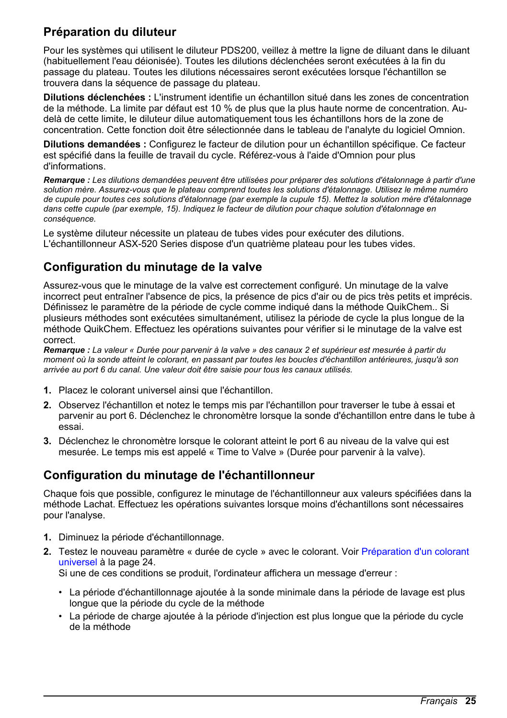### **Préparation du diluteur**

Pour les systèmes qui utilisent le diluteur PDS200, veillez à mettre la ligne de diluant dans le diluant (habituellement l'eau déionisée). Toutes les dilutions déclenchées seront exécutées à la fin du passage du plateau. Toutes les dilutions nécessaires seront exécutées lorsque l'échantillon se trouvera dans la séquence de passage du plateau.

**Dilutions déclenchées :** L'instrument identifie un échantillon situé dans les zones de concentration de la méthode. La limite par défaut est 10 % de plus que la plus haute norme de concentration. Audelà de cette limite, le diluteur dilue automatiquement tous les échantillons hors de la zone de concentration. Cette fonction doit être sélectionnée dans le tableau de l'analyte du logiciel Omnion.

**Dilutions demandées :** Configurez le facteur de dilution pour un échantillon spécifique. Ce facteur est spécifié dans la feuille de travail du cycle. Référez-vous à l'aide d'Omnion pour plus d'informations.

*Remarque : Les dilutions demandées peuvent être utilisées pour préparer des solutions d'étalonnage à partir d'une solution mère. Assurez-vous que le plateau comprend toutes les solutions d'étalonnage. Utilisez le même numéro de cupule pour toutes ces solutions d'étalonnage (par exemple la cupule 15). Mettez la solution mère d'étalonnage dans cette cupule (par exemple, 15). Indiquez le facteur de dilution pour chaque solution d'étalonnage en conséquence.*

Le système diluteur nécessite un plateau de tubes vides pour exécuter des dilutions. L'échantillonneur ASX-520 Series dispose d'un quatrième plateau pour les tubes vides.

### **Configuration du minutage de la valve**

Assurez-vous que le minutage de la valve est correctement configuré. Un minutage de la valve incorrect peut entraîner l'absence de pics, la présence de pics d'air ou de pics très petits et imprécis. Définissez le paramètre de la période de cycle comme indiqué dans la méthode QuikChem.. Si plusieurs méthodes sont exécutées simultanément, utilisez la période de cycle la plus longue de la méthode QuikChem. Effectuez les opérations suivantes pour vérifier si le minutage de la valve est correct.

*Remarque : La valeur « Durée pour parvenir à la valve » des canaux 2 et supérieur est mesurée à partir du moment où la sonde atteint le colorant, en passant par toutes les boucles d'échantillon antérieures, jusqu'à son arrivée au port 6 du canal. Une valeur doit être saisie pour tous les canaux utilisés.*

- **1.** Placez le colorant universel ainsi que l'échantillon.
- **2.** Observez l'échantillon et notez le temps mis par l'échantillon pour traverser le tube à essai et parvenir au port 6. Déclenchez le chronomètre lorsque la sonde d'échantillon entre dans le tube à essai.
- **3.** Déclenchez le chronomètre lorsque le colorant atteint le port 6 au niveau de la valve qui est mesurée. Le temps mis est appelé « Time to Valve » (Durée pour parvenir à la valve).

### **Configuration du minutage de l'échantillonneur**

Chaque fois que possible, configurez le minutage de l'échantillonneur aux valeurs spécifiées dans la méthode Lachat. Effectuez les opérations suivantes lorsque moins d'échantillons sont nécessaires pour l'analyse.

- **1.** Diminuez la période d'échantillonnage.
- **2.** Testez le nouveau paramètre « durée de cycle » avec le colorant. Voir [Préparation d'un colorant](#page-23-0) [universel](#page-23-0) à la page 24.

Si une de ces conditions se produit, l'ordinateur affichera un message d'erreur :

- La période d'échantillonnage ajoutée à la sonde minimale dans la période de lavage est plus longue que la période du cycle de la méthode
- La période de charge ajoutée à la période d'injection est plus longue que la période du cycle de la méthode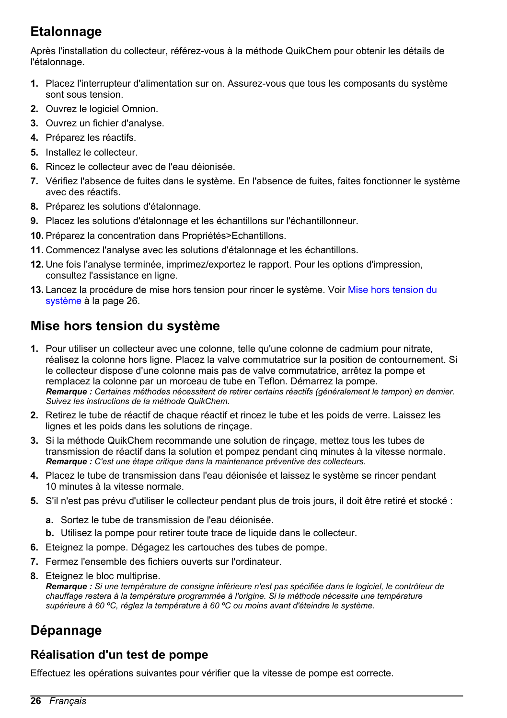# <span id="page-25-0"></span>**Etalonnage**

Après l'installation du collecteur, référez-vous à la méthode QuikChem pour obtenir les détails de l'étalonnage.

- **1.** Placez l'interrupteur d'alimentation sur on. Assurez-vous que tous les composants du système sont sous tension.
- **2.** Ouvrez le logiciel Omnion.
- **3.** Ouvrez un fichier d'analyse.
- **4.** Préparez les réactifs.
- **5.** Installez le collecteur.
- **6.** Rincez le collecteur avec de l'eau déionisée.
- **7.** Vérifiez l'absence de fuites dans le système. En l'absence de fuites, faites fonctionner le système avec des réactifs.
- **8.** Préparez les solutions d'étalonnage.
- **9.** Placez les solutions d'étalonnage et les échantillons sur l'échantillonneur.
- **10.** Préparez la concentration dans Propriétés>Echantillons.
- **11.** Commencez l'analyse avec les solutions d'étalonnage et les échantillons.
- **12.** Une fois l'analyse terminée, imprimez/exportez le rapport. Pour les options d'impression, consultez l'assistance en ligne.
- **13.** Lancez la procédure de mise hors tension pour rincer le système. Voir Mise hors tension du système à la page 26.

# **Mise hors tension du système**

- **1.** Pour utiliser un collecteur avec une colonne, telle qu'une colonne de cadmium pour nitrate, réalisez la colonne hors ligne. Placez la valve commutatrice sur la position de contournement. Si le collecteur dispose d'une colonne mais pas de valve commutatrice, arrêtez la pompe et remplacez la colonne par un morceau de tube en Teflon. Démarrez la pompe. *Remarque : Certaines méthodes nécessitent de retirer certains réactifs (généralement le tampon) en dernier. Suivez les instructions de la méthode QuikChem.*
- **2.** Retirez le tube de réactif de chaque réactif et rincez le tube et les poids de verre. Laissez les lignes et les poids dans les solutions de rinçage.
- **3.** Si la méthode QuikChem recommande une solution de rinçage, mettez tous les tubes de transmission de réactif dans la solution et pompez pendant cinq minutes à la vitesse normale. *Remarque : C'est une étape critique dans la maintenance préventive des collecteurs.*
- **4.** Placez le tube de transmission dans l'eau déionisée et laissez le système se rincer pendant 10 minutes à la vitesse normale.
- **5.** S'il n'est pas prévu d'utiliser le collecteur pendant plus de trois jours, il doit être retiré et stocké :
	- **a.** Sortez le tube de transmission de l'eau déionisée.
	- **b.** Utilisez la pompe pour retirer toute trace de liquide dans le collecteur.
- **6.** Eteignez la pompe. Dégagez les cartouches des tubes de pompe.
- **7.** Fermez l'ensemble des fichiers ouverts sur l'ordinateur.
- **8.** Eteignez le bloc multiprise.

*Remarque : Si une température de consigne inférieure n'est pas spécifiée dans le logiciel, le contrôleur de chauffage restera à la température programmée à l'origine. Si la méthode nécessite une température supérieure à 60 ºC, réglez la température à 60 ºC ou moins avant d'éteindre le système.*

# **Dépannage**

### **Réalisation d'un test de pompe**

Effectuez les opérations suivantes pour vérifier que la vitesse de pompe est correcte.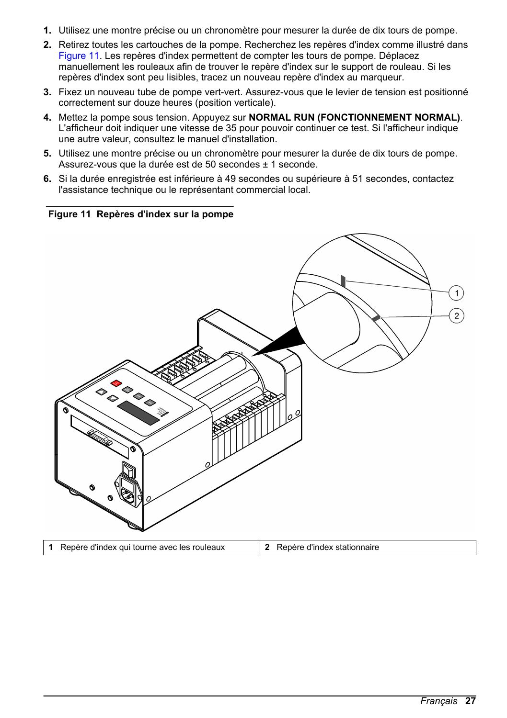- **1.** Utilisez une montre précise ou un chronomètre pour mesurer la durée de dix tours de pompe.
- **2.** Retirez toutes les cartouches de la pompe. Recherchez les repères d'index comme illustré dans Figure 11. Les repères d'index permettent de compter les tours de pompe. Déplacez manuellement les rouleaux afin de trouver le repère d'index sur le support de rouleau. Si les repères d'index sont peu lisibles, tracez un nouveau repère d'index au marqueur.
- **3.** Fixez un nouveau tube de pompe vert-vert. Assurez-vous que le levier de tension est positionné correctement sur douze heures (position verticale).
- **4.** Mettez la pompe sous tension. Appuyez sur **NORMAL RUN (FONCTIONNEMENT NORMAL)**. L'afficheur doit indiquer une vitesse de 35 pour pouvoir continuer ce test. Si l'afficheur indique une autre valeur, consultez le manuel d'installation.
- **5.** Utilisez une montre précise ou un chronomètre pour mesurer la durée de dix tours de pompe. Assurez-vous que la durée est de 50 secondes ± 1 seconde.
- **6.** Si la durée enregistrée est inférieure à 49 secondes ou supérieure à 51 secondes, contactez l'assistance technique ou le représentant commercial local.

#### **Figure 11 Repères d'index sur la pompe**

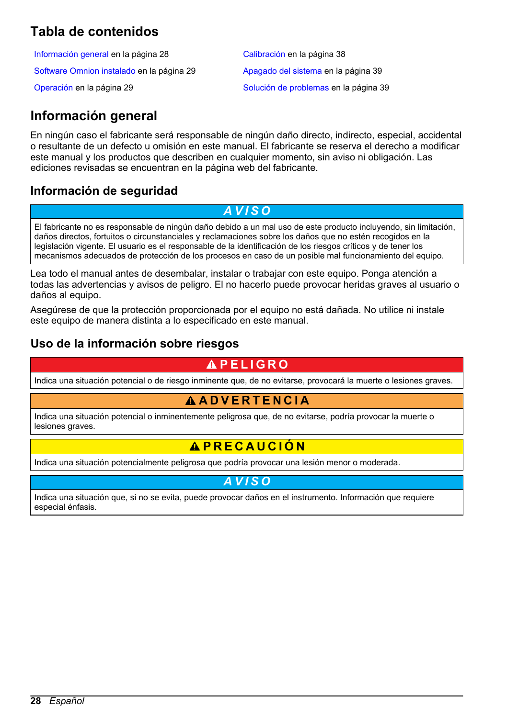# <span id="page-27-0"></span>**Tabla de contenidos**

Información general en la página 28 [Calibración](#page-37-0) en la página 38 [Software Omnion instalado](#page-28-0) en la página 29 [Apagado del sistema](#page-38-0) en la página 39 [Operación](#page-28-0) en la página 29 [Solución de problemas](#page-38-0) en la página 39

# **Información general**

En ningún caso el fabricante será responsable de ningún daño directo, indirecto, especial, accidental o resultante de un defecto u omisión en este manual. El fabricante se reserva el derecho a modificar este manual y los productos que describen en cualquier momento, sin aviso ni obligación. Las ediciones revisadas se encuentran en la página web del fabricante.

### **Información de seguridad**

*A V I S O*

El fabricante no es responsable de ningún daño debido a un mal uso de este producto incluyendo, sin limitación, daños directos, fortuitos o circunstanciales y reclamaciones sobre los daños que no estén recogidos en la legislación vigente. El usuario es el responsable de la identificación de los riesgos críticos y de tener los mecanismos adecuados de protección de los procesos en caso de un posible mal funcionamiento del equipo.

Lea todo el manual antes de desembalar, instalar o trabajar con este equipo. Ponga atención a todas las advertencias y avisos de peligro. El no hacerlo puede provocar heridas graves al usuario o daños al equipo.

Asegúrese de que la protección proporcionada por el equipo no está dañada. No utilice ni instale este equipo de manera distinta a lo especificado en este manual.

### **Uso de la información sobre riesgos**

# **P E L I G R O**

Indica una situación potencial o de riesgo inminente que, de no evitarse, provocará la muerte o lesiones graves.

### **A D V E R T E N C I A**

Indica una situación potencial o inminentemente peligrosa que, de no evitarse, podría provocar la muerte o lesiones graves.

### **P R E C A U C I Ó N**

Indica una situación potencialmente peligrosa que podría provocar una lesión menor o moderada.

*A V I S O*

Indica una situación que, si no se evita, puede provocar daños en el instrumento. Información que requiere especial énfasis.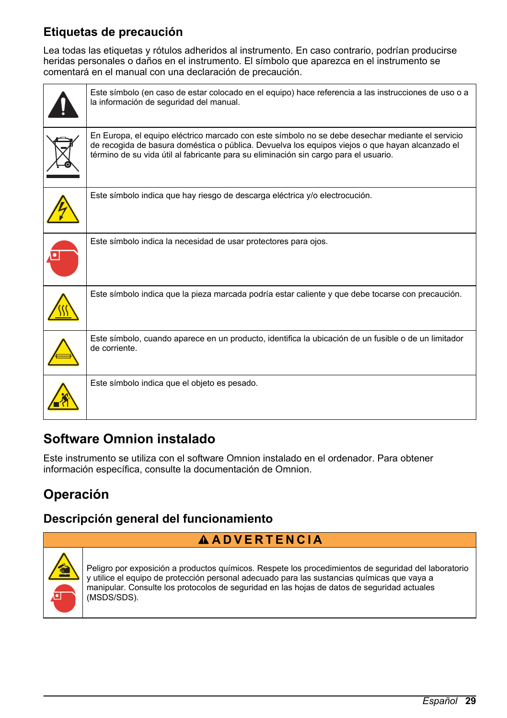# <span id="page-28-0"></span>**Etiquetas de precaución**

Lea todas las etiquetas y rótulos adheridos al instrumento. En caso contrario, podrían producirse heridas personales o daños en el instrumento. El símbolo que aparezca en el instrumento se comentará en el manual con una declaración de precaución.

| Este símbolo (en caso de estar colocado en el equipo) hace referencia a las instrucciones de uso o a<br>la información de seguridad del manual.                                                                                                                                             |
|---------------------------------------------------------------------------------------------------------------------------------------------------------------------------------------------------------------------------------------------------------------------------------------------|
| En Europa, el equipo eléctrico marcado con este símbolo no se debe desechar mediante el servicio<br>de recogida de basura doméstica o pública. Devuelva los equipos viejos o que hayan alcanzado el<br>término de su vida útil al fabricante para su eliminación sin cargo para el usuario. |
| Este símbolo indica que hay riesgo de descarga eléctrica y/o electrocución.                                                                                                                                                                                                                 |
| Este símbolo indica la necesidad de usar protectores para ojos.                                                                                                                                                                                                                             |
| Este símbolo indica que la pieza marcada podría estar caliente y que debe tocarse con precaución.                                                                                                                                                                                           |
| Este símbolo, cuando aparece en un producto, identifica la ubicación de un fusible o de un limitador<br>de corriente.                                                                                                                                                                       |
| Este símbolo indica que el objeto es pesado.                                                                                                                                                                                                                                                |

# **Software Omnion instalado**

Este instrumento se utiliza con el software Omnion instalado en el ordenador. Para obtener información específica, consulte la documentación de Omnion.

# **Operación**

### **Descripción general del funcionamiento**

### **A D V E R T E N C I A**



Peligro por exposición a productos químicos. Respete los procedimientos de seguridad del laboratorio y utilice el equipo de protección personal adecuado para las sustancias químicas que vaya a manipular. Consulte los protocolos de seguridad en las hojas de datos de seguridad actuales (MSDS/SDS).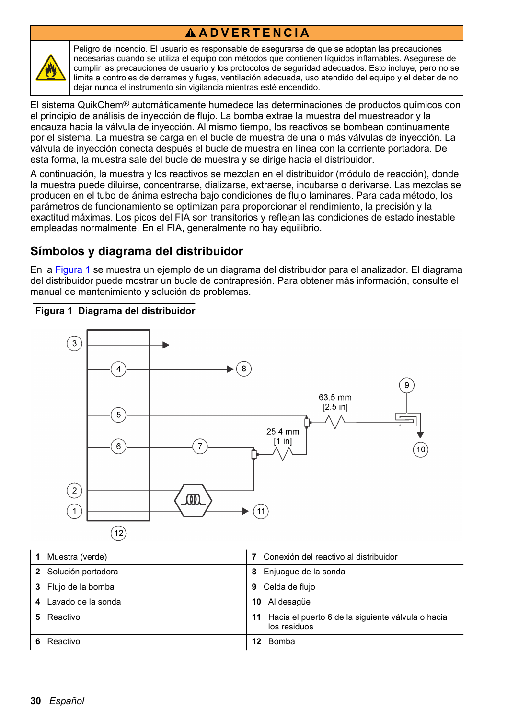# **A D V E R T E N C I A**



Peligro de incendio. El usuario es responsable de asegurarse de que se adoptan las precauciones necesarias cuando se utiliza el equipo con métodos que contienen líquidos inflamables. Asegúrese de cumplir las precauciones de usuario y los protocolos de seguridad adecuados. Esto incluye, pero no se limita a controles de derrames y fugas, ventilación adecuada, uso atendido del equipo y el deber de no dejar nunca el instrumento sin vigilancia mientras esté encendido.

El sistema QuikChem® automáticamente humedece las determinaciones de productos químicos con el principio de análisis de inyección de flujo. La bomba extrae la muestra del muestreador y la encauza hacia la válvula de inyección. Al mismo tiempo, los reactivos se bombean continuamente por el sistema. La muestra se carga en el bucle de muestra de una o más válvulas de inyección. La válvula de inyección conecta después el bucle de muestra en línea con la corriente portadora. De esta forma, la muestra sale del bucle de muestra y se dirige hacia el distribuidor.

A continuación, la muestra y los reactivos se mezclan en el distribuidor (módulo de reacción), donde la muestra puede diluirse, concentrarse, dializarse, extraerse, incubarse o derivarse. Las mezclas se producen en el tubo de ánima estrecha bajo condiciones de flujo laminares. Para cada método, los parámetros de funcionamiento se optimizan para proporcionar el rendimiento, la precisión y la exactitud máximas. Los picos del FIA son transitorios y reflejan las condiciones de estado inestable empleadas normalmente. En el FIA, generalmente no hay equilibrio.

### **Símbolos y diagrama del distribuidor**

En la Figura 1 se muestra un ejemplo de un diagrama del distribuidor para el analizador. El diagrama del distribuidor puede mostrar un bucle de contrapresión. Para obtener más información, consulte el manual de mantenimiento y solución de problemas.

#### **Figura 1 Diagrama del distribuidor**



| Muestra (verde)         | Conexión del reactivo al distribuidor                                |
|-------------------------|----------------------------------------------------------------------|
| 2 Solución portadora    | Enjuaque de la sonda<br>8                                            |
| 3 Flujo de la bomba     | Celda de flujo<br>9                                                  |
| Lavado de la sonda<br>4 | Al desagüe<br>10                                                     |
| Reactivo                | 11 Hacia el puerto 6 de la siguiente válvula o hacia<br>los residuos |
| Reactivo                | Bomba<br>12                                                          |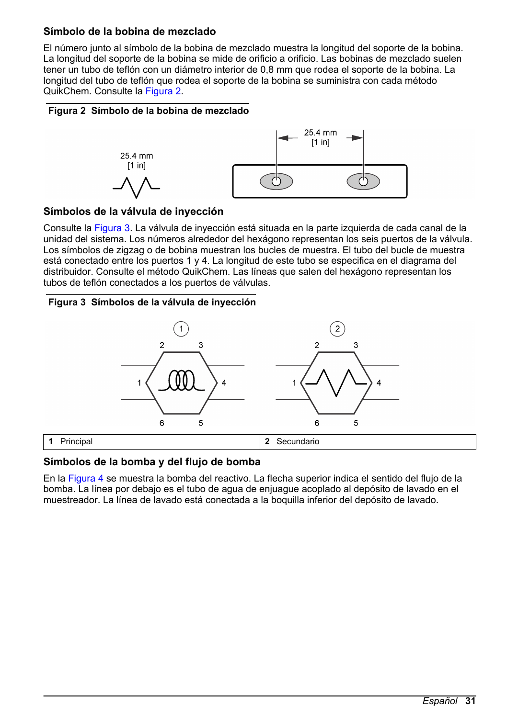### **Símbolo de la bobina de mezclado**

El número junto al símbolo de la bobina de mezclado muestra la longitud del soporte de la bobina. La longitud del soporte de la bobina se mide de orificio a orificio. Las bobinas de mezclado suelen tener un tubo de teflón con un diámetro interior de 0,8 mm que rodea el soporte de la bobina. La longitud del tubo de teflón que rodea el soporte de la bobina se suministra con cada método QuikChem. Consulte la Figura 2.

#### **Figura 2 Símbolo de la bobina de mezclado**



#### **Símbolos de la válvula de inyección**

Consulte la Figura 3. La válvula de inyección está situada en la parte izquierda de cada canal de la unidad del sistema. Los números alrededor del hexágono representan los seis puertos de la válvula. Los símbolos de zigzag o de bobina muestran los bucles de muestra. El tubo del bucle de muestra está conectado entre los puertos 1 y 4. La longitud de este tubo se especifica en el diagrama del distribuidor. Consulte el método QuikChem. Las líneas que salen del hexágono representan los tubos de teflón conectados a los puertos de válvulas.

#### **Figura 3 Símbolos de la válvula de inyección**



#### **Símbolos de la bomba y del flujo de bomba**

En la [Figura 4](#page-31-0) se muestra la bomba del reactivo. La flecha superior indica el sentido del flujo de la bomba. La línea por debajo es el tubo de agua de enjuague acoplado al depósito de lavado en el muestreador. La línea de lavado está conectada a la boquilla inferior del depósito de lavado.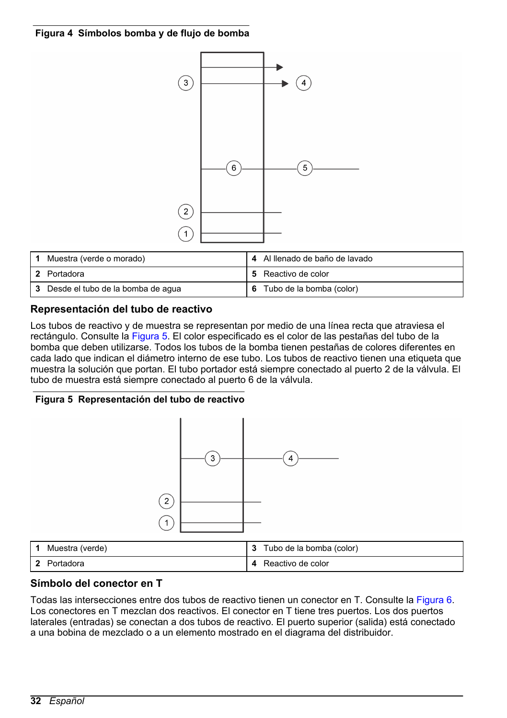#### <span id="page-31-0"></span>**Figura 4 Símbolos bomba y de flujo de bomba**



| Muestra (verde o morado)            | 4 Al llenado de baño de lavado |
|-------------------------------------|--------------------------------|
| 2 Portadora                         | 5 Reactivo de color            |
| 3 Desde el tubo de la bomba de aqua | 6 Tubo de la bomba (color)     |

#### **Representación del tubo de reactivo**

Los tubos de reactivo y de muestra se representan por medio de una línea recta que atraviesa el rectángulo. Consulte la Figura 5. El color especificado es el color de las pestañas del tubo de la bomba que deben utilizarse. Todos los tubos de la bomba tienen pestañas de colores diferentes en cada lado que indican el diámetro interno de ese tubo. Los tubos de reactivo tienen una etiqueta que muestra la solución que portan. El tubo portador está siempre conectado al puerto 2 de la válvula. El tubo de muestra está siempre conectado al puerto 6 de la válvula.

#### **Figura 5 Representación del tubo de reactivo**



#### **Símbolo del conector en T**

Todas las intersecciones entre dos tubos de reactivo tienen un conector en T. Consulte la [Figura 6](#page-32-0). Los conectores en T mezclan dos reactivos. El conector en T tiene tres puertos. Los dos puertos laterales (entradas) se conectan a dos tubos de reactivo. El puerto superior (salida) está conectado a una bobina de mezclado o a un elemento mostrado en el diagrama del distribuidor.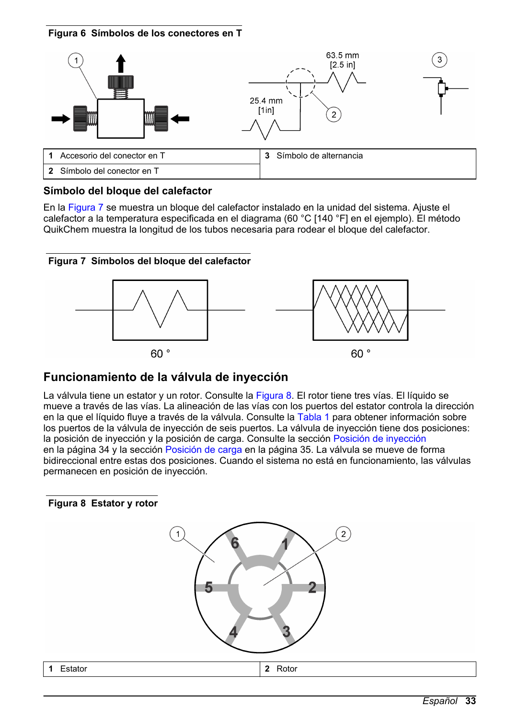<span id="page-32-0"></span>



#### **Símbolo del bloque del calefactor**

En la Figura 7 se muestra un bloque del calefactor instalado en la unidad del sistema. Ajuste el calefactor a la temperatura especificada en el diagrama (60 °C [140 °F] en el ejemplo). El método QuikChem muestra la longitud de los tubos necesaria para rodear el bloque del calefactor.





### **Funcionamiento de la válvula de inyección**

La válvula tiene un estator y un rotor. Consulte la Figura 8. El rotor tiene tres vías. El líquido se mueve a través de las vías. La alineación de las vías con los puertos del estator controla la dirección en la que el líquido fluye a través de la válvula. Consulte la [Tabla 1](#page-33-0) para obtener información sobre los puertos de la válvula de inyección de seis puertos. La válvula de inyección tiene dos posiciones: la posición de inyección y la posición de carga. Consulte la sección [Posición de inyección](#page-33-0) en la página 34 y la sección [Posición de carga](#page-34-0) en la página 35. La válvula se mueve de forma bidireccional entre estas dos posiciones. Cuando el sistema no está en funcionamiento, las válvulas permanecen en posición de inyección.

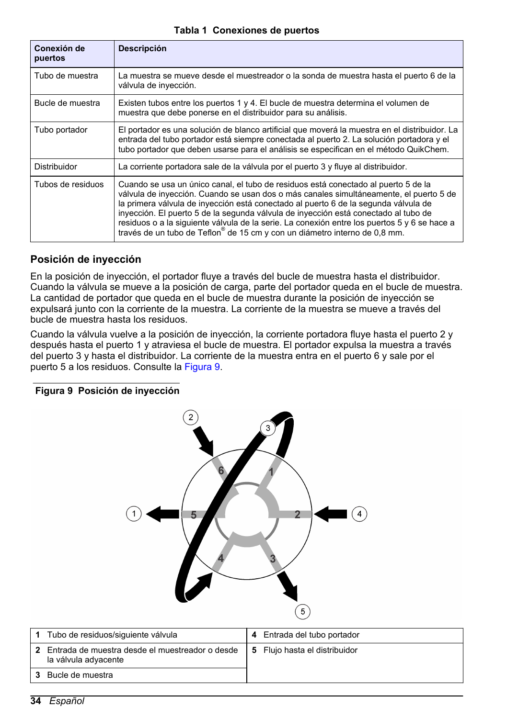#### **Tabla 1 Conexiones de puertos**

<span id="page-33-0"></span>

| Conexión de<br>puertos                                                                                                                                                  | <b>Descripción</b>                                                                                                                                                                                                                                                                                                                                                                                                                                                                                                                                   |
|-------------------------------------------------------------------------------------------------------------------------------------------------------------------------|------------------------------------------------------------------------------------------------------------------------------------------------------------------------------------------------------------------------------------------------------------------------------------------------------------------------------------------------------------------------------------------------------------------------------------------------------------------------------------------------------------------------------------------------------|
| Tubo de muestra                                                                                                                                                         | La muestra se mueve desde el muestreador o la sonda de muestra hasta el puerto 6 de la<br>válvula de inyección.                                                                                                                                                                                                                                                                                                                                                                                                                                      |
| Bucle de muestra<br>Existen tubos entre los puertos 1 y 4. El bucle de muestra determina el volumen de<br>muestra que debe ponerse en el distribuidor para su análisis. |                                                                                                                                                                                                                                                                                                                                                                                                                                                                                                                                                      |
| Tubo portador                                                                                                                                                           | El portador es una solución de blanco artificial que moverá la muestra en el distribuidor. La<br>entrada del tubo portador está siempre conectada al puerto 2. La solución portadora y el<br>tubo portador que deben usarse para el análisis se especifican en el método QuikChem.                                                                                                                                                                                                                                                                   |
| Distribuidor                                                                                                                                                            | La corriente portadora sale de la válvula por el puerto 3 y fluye al distribuidor.                                                                                                                                                                                                                                                                                                                                                                                                                                                                   |
| Tubos de residuos                                                                                                                                                       | Cuando se usa un único canal, el tubo de residuos está conectado al puerto 5 de la<br>válvula de inyección. Cuando se usan dos o más canales simultáneamente, el puerto 5 de<br>la primera válvula de inyección está conectado al puerto 6 de la segunda válvula de<br>inyección. El puerto 5 de la segunda válvula de inyección está conectado al tubo de<br>residuos o a la siguiente vályula de la serie. La conexión entre los puertos 5 y 6 se hace a<br>través de un tubo de Teflon <sup>®</sup> de 15 cm y con un diámetro interno de 0,8 mm. |

#### **Posición de inyección**

En la posición de inyección, el portador fluye a través del bucle de muestra hasta el distribuidor. Cuando la válvula se mueve a la posición de carga, parte del portador queda en el bucle de muestra. La cantidad de portador que queda en el bucle de muestra durante la posición de inyección se expulsará junto con la corriente de la muestra. La corriente de la muestra se mueve a través del bucle de muestra hasta los residuos.

Cuando la válvula vuelve a la posición de inyección, la corriente portadora fluye hasta el puerto 2 y después hasta el puerto 1 y atraviesa el bucle de muestra. El portador expulsa la muestra a través del puerto 3 y hasta el distribuidor. La corriente de la muestra entra en el puerto 6 y sale por el puerto 5 a los residuos. Consulte la Figura 9.

#### **Figura 9 Posición de inyección**



| Tubo de residuos/siguiente válvula                                        | 4 Entrada del tubo portador   |
|---------------------------------------------------------------------------|-------------------------------|
| 2 Entrada de muestra desde el muestreador o desde<br>la válvula adyacente | 5 Flujo hasta el distribuidor |
| Bucle de muestra                                                          |                               |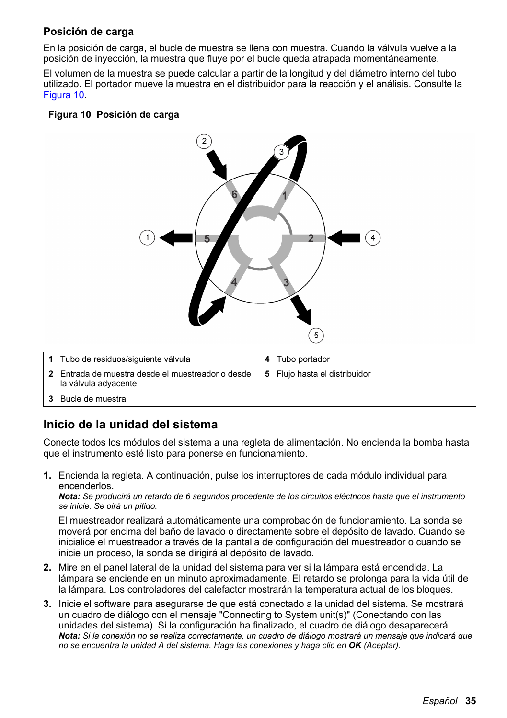### <span id="page-34-0"></span>**Posición de carga**

En la posición de carga, el bucle de muestra se llena con muestra. Cuando la válvula vuelve a la posición de inyección, la muestra que fluye por el bucle queda atrapada momentáneamente.

El volumen de la muestra se puede calcular a partir de la longitud y del diámetro interno del tubo utilizado. El portador mueve la muestra en el distribuidor para la reacción y el análisis. Consulte la Figura 10.

#### **Figura 10 Posición de carga**



| Tubo de residuos/siguiente válvula                                      | 4 | Tubo portador                 |
|-------------------------------------------------------------------------|---|-------------------------------|
| Entrada de muestra desde el muestreador o desde<br>la válvula adyacente |   | 5 Flujo hasta el distribuidor |
| Bucle de muestra                                                        |   |                               |

### **Inicio de la unidad del sistema**

Conecte todos los módulos del sistema a una regleta de alimentación. No encienda la bomba hasta que el instrumento esté listo para ponerse en funcionamiento.

**1.** Encienda la regleta. A continuación, pulse los interruptores de cada módulo individual para encenderlos.

*Nota: Se producirá un retardo de 6 segundos procedente de los circuitos eléctricos hasta que el instrumento se inicie. Se oirá un pitido.*

El muestreador realizará automáticamente una comprobación de funcionamiento. La sonda se moverá por encima del baño de lavado o directamente sobre el depósito de lavado. Cuando se inicialice el muestreador a través de la pantalla de configuración del muestreador o cuando se inicie un proceso, la sonda se dirigirá al depósito de lavado.

- **2.** Mire en el panel lateral de la unidad del sistema para ver si la lámpara está encendida. La lámpara se enciende en un minuto aproximadamente. El retardo se prolonga para la vida útil de la lámpara. Los controladores del calefactor mostrarán la temperatura actual de los bloques.
- **3.** Inicie el software para asegurarse de que está conectado a la unidad del sistema. Se mostrará un cuadro de diálogo con el mensaje "Connecting to System unit(s)" (Conectando con las unidades del sistema). Si la configuración ha finalizado, el cuadro de diálogo desaparecerá. *Nota: Si la conexión no se realiza correctamente, un cuadro de diálogo mostrará un mensaje que indicará que no se encuentra la unidad A del sistema. Haga las conexiones y haga clic en OK (Aceptar).*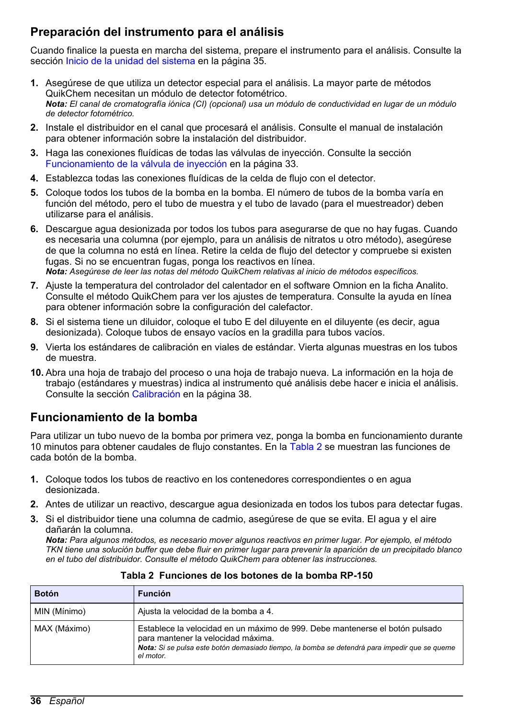### **Preparación del instrumento para el análisis**

Cuando finalice la puesta en marcha del sistema, prepare el instrumento para el análisis. Consulte la sección [Inicio de la unidad del sistema](#page-34-0) en la página 35.

- **1.** Asegúrese de que utiliza un detector especial para el análisis. La mayor parte de métodos QuikChem necesitan un módulo de detector fotométrico. *Nota: El canal de cromatografía iónica (CI) (opcional) usa un módulo de conductividad en lugar de un módulo de detector fotométrico.*
- **2.** Instale el distribuidor en el canal que procesará el análisis. Consulte el manual de instalación para obtener información sobre la instalación del distribuidor.
- **3.** Haga las conexiones fluídicas de todas las válvulas de inyección. Consulte la sección [Funcionamiento de la válvula de inyección](#page-32-0) en la página 33.
- **4.** Establezca todas las conexiones fluídicas de la celda de flujo con el detector.
- **5.** Coloque todos los tubos de la bomba en la bomba. El número de tubos de la bomba varía en función del método, pero el tubo de muestra y el tubo de lavado (para el muestreador) deben utilizarse para el análisis.
- **6.** Descargue agua desionizada por todos los tubos para asegurarse de que no hay fugas. Cuando es necesaria una columna (por ejemplo, para un análisis de nitratos u otro método), asegúrese de que la columna no está en línea. Retire la celda de flujo del detector y compruebe si existen fugas. Si no se encuentran fugas, ponga los reactivos en línea. *Nota: Asegúrese de leer las notas del método QuikChem relativas al inicio de métodos específicos.*
- **7.** Ajuste la temperatura del controlador del calentador en el software Omnion en la ficha Analito. Consulte el método QuikChem para ver los ajustes de temperatura. Consulte la ayuda en línea para obtener información sobre la configuración del calefactor.
- **8.** Si el sistema tiene un diluidor, coloque el tubo E del diluyente en el diluyente (es decir, agua desionizada). Coloque tubos de ensayo vacíos en la gradilla para tubos vacíos.
- **9.** Vierta los estándares de calibración en viales de estándar. Vierta algunas muestras en los tubos de muestra.
- **10.** Abra una hoja de trabajo del proceso o una hoja de trabajo nueva. La información en la hoja de trabajo (estándares y muestras) indica al instrumento qué análisis debe hacer e inicia el análisis. Consulte la sección [Calibración](#page-37-0) en la página 38.

### **Funcionamiento de la bomba**

Para utilizar un tubo nuevo de la bomba por primera vez, ponga la bomba en funcionamiento durante 10 minutos para obtener caudales de flujo constantes. En la Tabla 2 se muestran las funciones de cada botón de la bomba.

- **1.** Coloque todos los tubos de reactivo en los contenedores correspondientes o en agua desionizada.
- **2.** Antes de utilizar un reactivo, descargue agua desionizada en todos los tubos para detectar fugas.
- **3.** Si el distribuidor tiene una columna de cadmio, asegúrese de que se evita. El agua y el aire dañarán la columna.

*Nota: Para algunos métodos, es necesario mover algunos reactivos en primer lugar. Por ejemplo, el método TKN tiene una solución buffer que debe fluir en primer lugar para prevenir la aparición de un precipitado blanco en el tubo del distribuidor. Consulte el método QuikChem para obtener las instrucciones.*

| <b>Botón</b> | <b>Función</b>                                                                                                                                                                                                                   |  |
|--------------|----------------------------------------------------------------------------------------------------------------------------------------------------------------------------------------------------------------------------------|--|
| MIN (Mínimo) | Ajusta la velocidad de la bomba a 4.                                                                                                                                                                                             |  |
| MAX (Máximo) | Establece la velocidad en un máximo de 999. Debe mantenerse el botón pulsado<br>para mantener la velocidad máxima.<br>Nota: Si se pulsa este botón demasiado tiempo, la bomba se detendrá para impedir que se queme<br>el motor. |  |

**Tabla 2 Funciones de los botones de la bomba RP-150**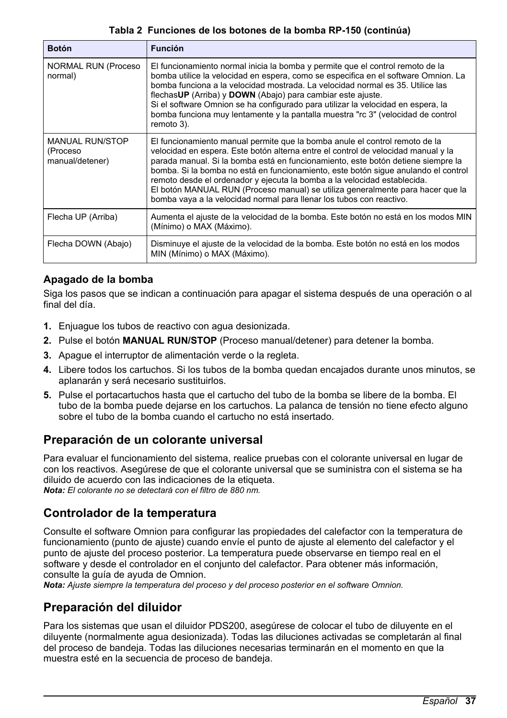#### **Tabla 2 Funciones de los botones de la bomba RP-150 (continúa)**

<span id="page-36-0"></span>

| <b>Botón</b>                                          | <b>Función</b>                                                                                                                                                                                                                                                                                                                                                                                                                                                                                                                                                                   |
|-------------------------------------------------------|----------------------------------------------------------------------------------------------------------------------------------------------------------------------------------------------------------------------------------------------------------------------------------------------------------------------------------------------------------------------------------------------------------------------------------------------------------------------------------------------------------------------------------------------------------------------------------|
| <b>NORMAL RUN (Proceso)</b><br>normal)                | El funcionamiento normal inicia la bomba y permite que el control remoto de la<br>bomba utilice la velocidad en espera, como se especifica en el software Omnion. La<br>bomba funciona a la velocidad mostrada. La velocidad normal es 35. Utilice las<br>flechasUP (Arriba) y DOWN (Abajo) para cambiar este ajuste.<br>Si el software Omnion se ha configurado para utilizar la velocidad en espera, la<br>bomba funciona muy lentamente y la pantalla muestra "rc 3" (velocidad de control<br>remoto 3).                                                                      |
| <b>MANUAL RUN/STOP</b><br>(Proceso<br>manual/detener) | El funcionamiento manual permite que la bomba anule el control remoto de la<br>velocidad en espera. Este botón alterna entre el control de velocidad manual y la<br>parada manual. Si la bomba está en funcionamiento, este botón detiene siempre la<br>bomba. Si la bomba no está en funcionamiento, este botón sique anulando el control<br>remoto desde el ordenador y ejecuta la bomba a la velocidad establecida.<br>El botón MANUAL RUN (Proceso manual) se utiliza generalmente para hacer que la<br>bomba vaya a la velocidad normal para llenar los tubos con reactivo. |
| Flecha UP (Arriba)                                    | Aumenta el ajuste de la velocidad de la bomba. Este botón no está en los modos MIN<br>(Mínimo) o MAX (Máximo).                                                                                                                                                                                                                                                                                                                                                                                                                                                                   |
| Flecha DOWN (Abajo)                                   | Disminuye el ajuste de la velocidad de la bomba. Este botón no está en los modos<br>MIN (Mínimo) o MAX (Máximo).                                                                                                                                                                                                                                                                                                                                                                                                                                                                 |

### **Apagado de la bomba**

Siga los pasos que se indican a continuación para apagar el sistema después de una operación o al final del día.

- **1.** Enjuague los tubos de reactivo con agua desionizada.
- **2.** Pulse el botón **MANUAL RUN/STOP** (Proceso manual/detener) para detener la bomba.
- **3.** Apague el interruptor de alimentación verde o la regleta.
- **4.** Libere todos los cartuchos. Si los tubos de la bomba quedan encajados durante unos minutos, se aplanarán y será necesario sustituirlos.
- **5.** Pulse el portacartuchos hasta que el cartucho del tubo de la bomba se libere de la bomba. El tubo de la bomba puede dejarse en los cartuchos. La palanca de tensión no tiene efecto alguno sobre el tubo de la bomba cuando el cartucho no está insertado.

### **Preparación de un colorante universal**

Para evaluar el funcionamiento del sistema, realice pruebas con el colorante universal en lugar de con los reactivos. Asegúrese de que el colorante universal que se suministra con el sistema se ha diluido de acuerdo con las indicaciones de la etiqueta. *Nota: El colorante no se detectará con el filtro de 880 nm.*

### **Controlador de la temperatura**

Consulte el software Omnion para configurar las propiedades del calefactor con la temperatura de funcionamiento (punto de ajuste) cuando envíe el punto de ajuste al elemento del calefactor y el punto de ajuste del proceso posterior. La temperatura puede observarse en tiempo real en el software y desde el controlador en el conjunto del calefactor. Para obtener más información consulte la guía de ayuda de Omnion.

*Nota: Ajuste siempre la temperatura del proceso y del proceso posterior en el software Omnion.*

### **Preparación del diluidor**

Para los sistemas que usan el diluidor PDS200, asegúrese de colocar el tubo de diluyente en el diluyente (normalmente agua desionizada). Todas las diluciones activadas se completarán al final del proceso de bandeja. Todas las diluciones necesarias terminarán en el momento en que la muestra esté en la secuencia de proceso de bandeja.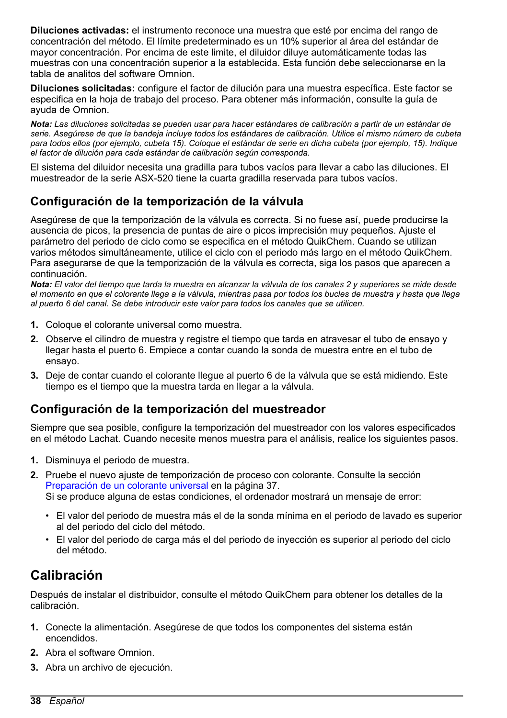<span id="page-37-0"></span>**Diluciones activadas:** el instrumento reconoce una muestra que esté por encima del rango de concentración del método. El límite predeterminado es un 10% superior al área del estándar de mayor concentración. Por encima de este limite, el diluidor diluye automáticamente todas las muestras con una concentración superior a la establecida. Esta función debe seleccionarse en la tabla de analitos del software Omnion.

**Diluciones solicitadas:** configure el factor de dilución para una muestra específica. Este factor se especifica en la hoja de trabajo del proceso. Para obtener más información, consulte la guía de ayuda de Omnion.

*Nota: Las diluciones solicitadas se pueden usar para hacer estándares de calibración a partir de un estándar de serie. Asegúrese de que la bandeja incluye todos los estándares de calibración. Utilice el mismo número de cubeta para todos ellos (por ejemplo, cubeta 15). Coloque el estándar de serie en dicha cubeta (por ejemplo, 15). Indique el factor de dilución para cada estándar de calibración según corresponda.*

El sistema del diluidor necesita una gradilla para tubos vacíos para llevar a cabo las diluciones. El muestreador de la serie ASX-520 tiene la cuarta gradilla reservada para tubos vacíos.

### **Configuración de la temporización de la válvula**

Asegúrese de que la temporización de la válvula es correcta. Si no fuese así, puede producirse la ausencia de picos, la presencia de puntas de aire o picos imprecisión muy pequeños. Ajuste el parámetro del periodo de ciclo como se especifica en el método QuikChem. Cuando se utilizan varios métodos simultáneamente, utilice el ciclo con el periodo más largo en el método QuikChem. Para asegurarse de que la temporización de la válvula es correcta, siga los pasos que aparecen a continuación.

*Nota: El valor del tiempo que tarda la muestra en alcanzar la válvula de los canales 2 y superiores se mide desde el momento en que el colorante llega a la válvula, mientras pasa por todos los bucles de muestra y hasta que llega al puerto 6 del canal. Se debe introducir este valor para todos los canales que se utilicen.*

- **1.** Coloque el colorante universal como muestra.
- **2.** Observe el cilindro de muestra y registre el tiempo que tarda en atravesar el tubo de ensayo y llegar hasta el puerto 6. Empiece a contar cuando la sonda de muestra entre en el tubo de ensayo.
- **3.** Deje de contar cuando el colorante llegue al puerto 6 de la válvula que se está midiendo. Este tiempo es el tiempo que la muestra tarda en llegar a la válvula.

### **Configuración de la temporización del muestreador**

Siempre que sea posible, configure la temporización del muestreador con los valores especificados en el método Lachat. Cuando necesite menos muestra para el análisis, realice los siguientes pasos.

- **1.** Disminuya el periodo de muestra.
- **2.** Pruebe el nuevo ajuste de temporización de proceso con colorante. Consulte la sección [Preparación de un colorante universal](#page-36-0) en la página 37. Si se produce alguna de estas condiciones, el ordenador mostrará un mensaje de error:
	- El valor del periodo de muestra más el de la sonda mínima en el periodo de lavado es superior al del periodo del ciclo del método.
	- El valor del periodo de carga más el del periodo de inyección es superior al periodo del ciclo del método.

# **Calibración**

Después de instalar el distribuidor, consulte el método QuikChem para obtener los detalles de la calibración.

- **1.** Conecte la alimentación. Asegúrese de que todos los componentes del sistema están encendidos.
- **2.** Abra el software Omnion.
- **3.** Abra un archivo de ejecución.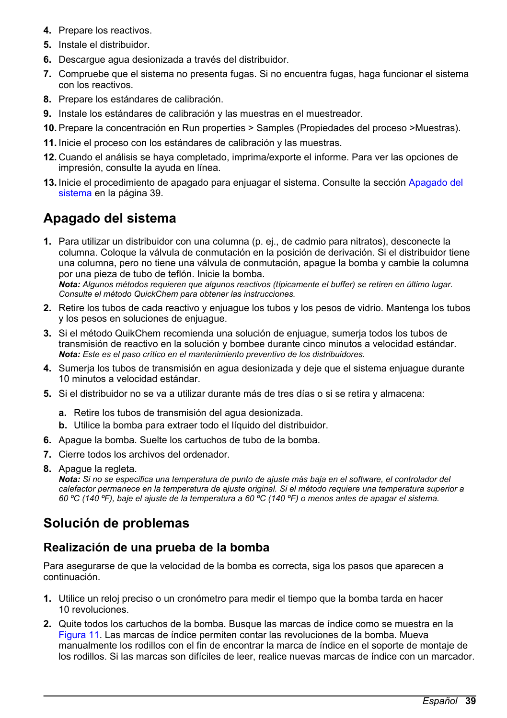- <span id="page-38-0"></span>**4.** Prepare los reactivos.
- **5.** Instale el distribuidor.
- **6.** Descargue agua desionizada a través del distribuidor.
- **7.** Compruebe que el sistema no presenta fugas. Si no encuentra fugas, haga funcionar el sistema con los reactivos.
- **8.** Prepare los estándares de calibración.
- **9.** Instale los estándares de calibración y las muestras en el muestreador.
- **10.** Prepare la concentración en Run properties > Samples (Propiedades del proceso >Muestras).
- **11.** Inicie el proceso con los estándares de calibración y las muestras.
- **12.** Cuando el análisis se haya completado, imprima/exporte el informe. Para ver las opciones de impresión, consulte la ayuda en línea.
- **13.** Inicie el procedimiento de apagado para enjuagar el sistema. Consulte la sección Apagado del sistema en la página 39.

# **Apagado del sistema**

**1.** Para utilizar un distribuidor con una columna (p. ej., de cadmio para nitratos), desconecte la columna. Coloque la válvula de conmutación en la posición de derivación. Si el distribuidor tiene una columna, pero no tiene una válvula de conmutación, apague la bomba y cambie la columna por una pieza de tubo de teflón. Inicie la bomba. *Nota: Algunos métodos requieren que algunos reactivos (típicamente el buffer) se retiren en último lugar.*

*Consulte el método QuickChem para obtener las instrucciones.*

- **2.** Retire los tubos de cada reactivo y enjuague los tubos y los pesos de vidrio. Mantenga los tubos y los pesos en soluciones de enjuague.
- **3.** Si el método QuikChem recomienda una solución de enjuague, sumerja todos los tubos de transmisión de reactivo en la solución y bombee durante cinco minutos a velocidad estándar. *Nota: Este es el paso crítico en el mantenimiento preventivo de los distribuidores.*
- **4.** Sumerja los tubos de transmisión en agua desionizada y deje que el sistema enjuague durante 10 minutos a velocidad estándar.
- **5.** Si el distribuidor no se va a utilizar durante más de tres días o si se retira y almacena:
	- **a.** Retire los tubos de transmisión del agua desionizada.
	- **b.** Utilice la bomba para extraer todo el líquido del distribuidor.
- **6.** Apague la bomba. Suelte los cartuchos de tubo de la bomba.
- **7.** Cierre todos los archivos del ordenador.
- **8.** Apague la regleta.

*Nota: Si no se especifica una temperatura de punto de ajuste más baja en el software, el controlador del calefactor permanece en la temperatura de ajuste original. Si el método requiere una temperatura superior a 60 ºC (140 ºF), baje el ajuste de la temperatura a 60 ºC (140 ºF) o menos antes de apagar el sistema.*

# **Solución de problemas**

### **Realización de una prueba de la bomba**

Para asegurarse de que la velocidad de la bomba es correcta, siga los pasos que aparecen a continuación.

- **1.** Utilice un reloj preciso o un cronómetro para medir el tiempo que la bomba tarda en hacer 10 revoluciones.
- **2.** Quite todos los cartuchos de la bomba. Busque las marcas de índice como se muestra en la [Figura 11](#page-39-0). Las marcas de índice permiten contar las revoluciones de la bomba. Mueva manualmente los rodillos con el fin de encontrar la marca de índice en el soporte de montaje de los rodillos. Si las marcas son difíciles de leer, realice nuevas marcas de índice con un marcador.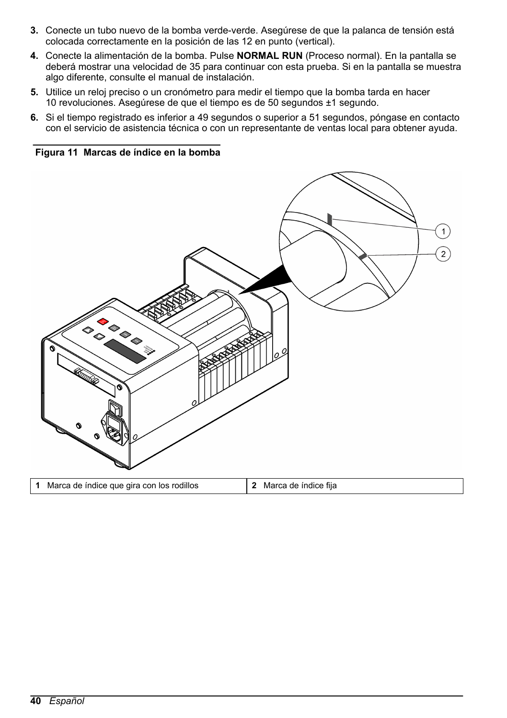- <span id="page-39-0"></span>**3.** Conecte un tubo nuevo de la bomba verde-verde. Asegúrese de que la palanca de tensión está colocada correctamente en la posición de las 12 en punto (vertical).
- **4.** Conecte la alimentación de la bomba. Pulse **NORMAL RUN** (Proceso normal). En la pantalla se deberá mostrar una velocidad de 35 para continuar con esta prueba. Si en la pantalla se muestra algo diferente, consulte el manual de instalación.
- **5.** Utilice un reloj preciso o un cronómetro para medir el tiempo que la bomba tarda en hacer 10 revoluciones. Asegúrese de que el tiempo es de 50 segundos ±1 segundo.
- **6.** Si el tiempo registrado es inferior a 49 segundos o superior a 51 segundos, póngase en contacto con el servicio de asistencia técnica o con un representante de ventas local para obtener ayuda.

**Figura 11 Marcas de índice en la bomba**

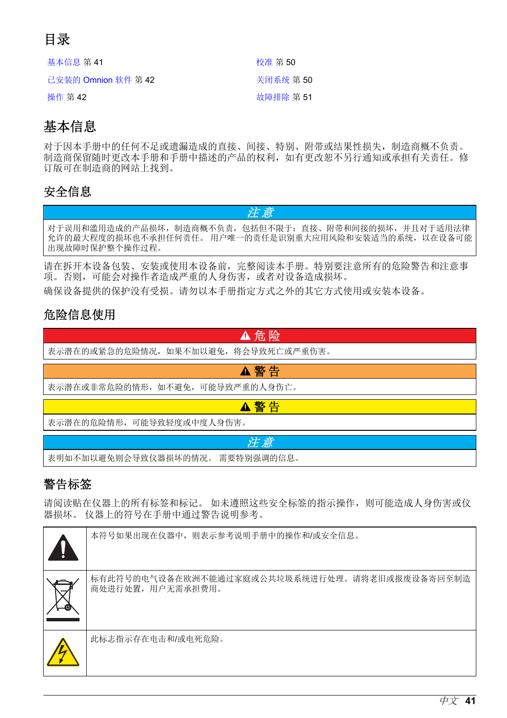# <span id="page-40-0"></span>目录

| 基本信息 第41            | 校准 第 50   |
|---------------------|-----------|
| 已安装的 Omnion 软件 第 42 | 关闭系统 第50  |
| 操作 第 42             | 故障排除 第 51 |

# 基本信息

对于因本手册中的任何不足或遗漏造成的直接、间接、特别、附带或结果性损失,制造商概不负责。 制造商保留随时更改本手册和手册中描述的产品的权利,如有更改恕不另行通知或承担有关责任。修 订版可在制造商的网站上找到。

# 安全信息

对于误用和滥用造成的产品损坏,制造商概不负责,包括但不限于:直接、附带和间接的损坏,并且对于适用法律 允许的最大程度的损坏也不承担任何责任。 用户唯一的责任是识别重大应用风险和安装适当的系统,以在设备可能 出现故障时保护整个操作过程。

注 意

请在拆开本设备包装、安装或使用本设备前,完整阅读本手册。特别要注意所有的危险警告和注意事 项。否则,可能会对操作者造成严重的人身伤害,或者对设备造成损坏。

确保设备提供的保护没有受损。请勿以本手册指定方式之外的其它方式使用或安装本设备。

# 危险信息使用



# 警告标签

请阅读贴在仪器上的所有标签和标记。 如未遵照这些安全标签的指示操作,则可能造成人身伤害或仪 器损坏。 仪器上的符号在手册中通过警告说明参考。

| И | 本符号如果出现在仪器中, 则表示参考说明手册中的操作和/或安全信息。                                 |
|---|--------------------------------------------------------------------|
|   | 标有此符号的电气设备在欧洲不能通过家庭或公共垃圾系统进行处理。请将老旧或报废设备寄回至制造<br>商处进行处置, 用户无需承担费用。 |
|   | 此标志指示存在电击和/或电死危险。                                                  |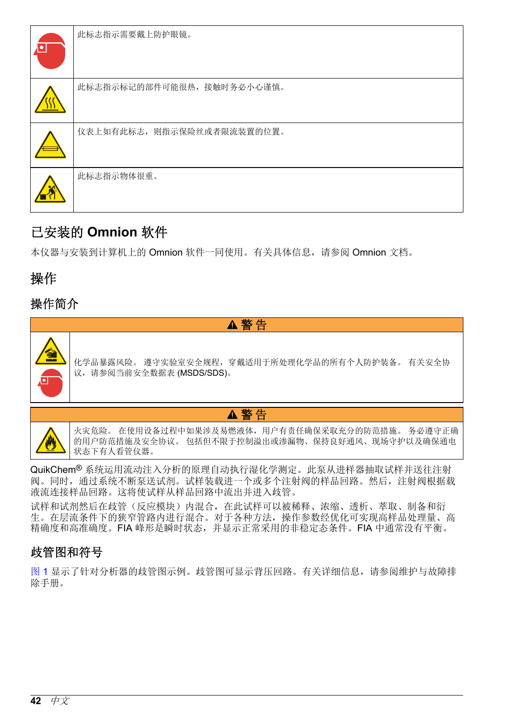<span id="page-41-0"></span>

| $\Lambda$ o | 此标志指示需要戴上防护眼镜。             |
|-------------|----------------------------|
|             | 此标志指示标记的部件可能很热, 接触时务必小心谨慎。 |
|             | 仪表上如有此标志, 则指示保险丝或者限流装置的位置。 |
|             | 此标志指示物体很重。                 |

# 已安装的 **Omnion** 软件

本仪器与安装到计算机上的 Omnion 软件一同使用。有关具体信息,请参阅 Omnion 文档。

# 操作

# 操作简介



化学品暴露风险。 遵守实验室安全规程,穿戴适用于所处理化学品的所有个人防护装备。 有关安全协 议,请参阅当前安全数据表 (MSDS/SDS)。



▲警告

火灾危险。 在使用设备过程中如果涉及易燃液体,用户有责任确保采取充分的防范措施。 务必遵守正确 的用户防范措施及安全协议。 包括但不限于控制溢出或渗漏物、保持良好通风、现场守护以及确保通电 状态下有人看管仪器。

QuikChem® 系统运用流动注入分析的原理自动执行湿化学测定。此泵从进样器抽取试样并送往注射 阀。同时,通过系统不断泵送试剂。试样装载进一个或多个注射阀的样品回路。然后,注射阀根据载 液流连接样品回路。这将使试样从样品回路中流出并进入歧管。

试样和试剂然后在歧管(反应模块)内混合,在此试样可以被稀释、浓缩、透析、萃取、制备和衍 生。在层流条件下的狭窄管路内进行混合。对于各种方法,操作参数经优化可实现高样品处理量、高 精确度和高准确度。FIA 峰形是瞬时状态,并显示正常采用的非稳定态条件。FIA 中通常没有平衡。

# 歧管图和符号

[图](#page-42-0) 1 显示了针对分析器的歧管图示例。歧管图可显示背压回路。有关详细信息,请参阅维护与故障排 除手册。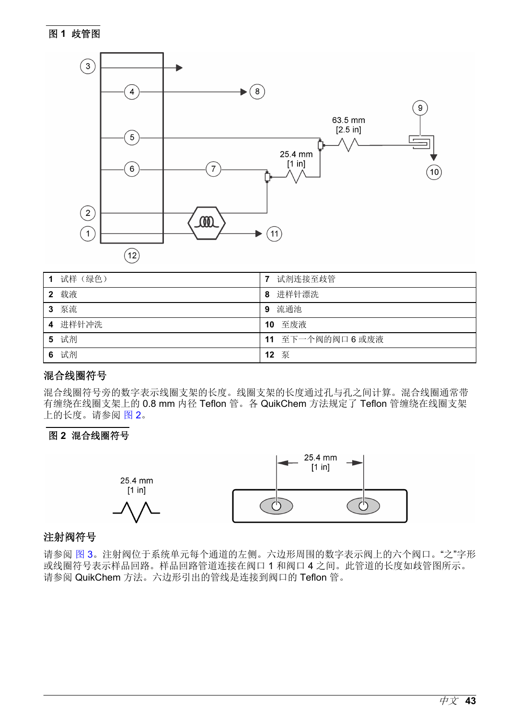### <span id="page-42-0"></span>图 **1** 歧管图



|   | 试样 (绿色) |    | 试剂连接至歧管           |
|---|---------|----|-------------------|
| 2 | 载液      | 8  | 进样针漂洗             |
| 3 | 泵流      | 9  | 流通池               |
|   | 4 进样针冲洗 | 10 | 至废液               |
| 5 | 试剂      |    | 11 至下一个阀的阀口 6 或废液 |
| 6 | 试剂      | 12 | 泵                 |

### 混合线圈符号

混合线圈符号旁的数字表示线圈支架的长度。线圈支架的长度通过孔与孔之间计算。混合线圈通常带 有缠绕在线圈支架上的 0.8 mm 内径 Teflon 管。各 QuikChem 方法规定了 Teflon 管缠绕在线圈支架 上的长度。请参阅 图 2。

#### 图 **2** 混合线圈符号



#### 注射阀符号

请参阅 [图](#page-43-0) 3。注射阀位于系统单元每个通道的左侧。六边形周围的数字表示阀上的六个阀口。"之"字形 或线圈符号表示样品回路。样品回路管道连接在阀口 1 和阀口 4 之间。此管道的长度如歧管图所示。 请参阅 QuikChem 方法。六边形引出的管线是连接到阀口的 Teflon 管。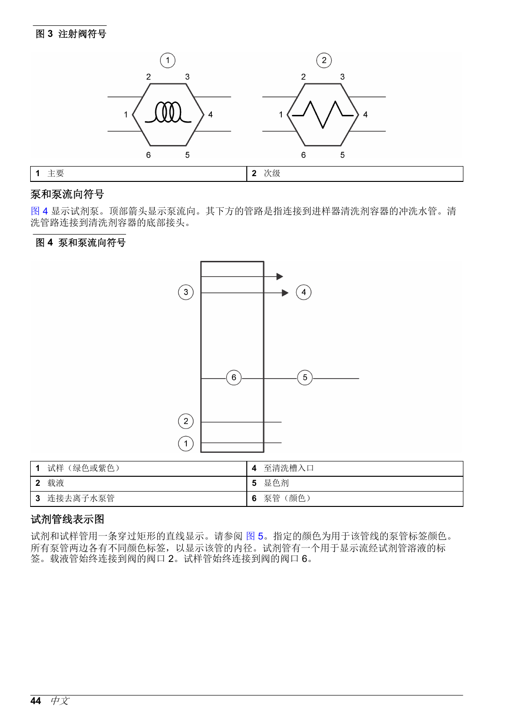### <span id="page-43-0"></span>图 **3** 注射阀符号



### 泵和泵流向符号

图 4 显示试剂泵。顶部箭头显示泵流向。其下方的管路是指连接到进样器清洗剂容器的冲洗水管。清 洗管路连接到清洗剂容器的底部接头。

#### 图 **4** 泵和泵流向符号



| 试样 (绿色或紫色)    | 至清洗槽入口          |
|---------------|-----------------|
| 载液            | 显色剂<br>-5       |
| 连接去离子水泵管<br>3 | 泵管<br>(颜色)<br>6 |

### 试剂管线表示图

试剂和试样管用一条穿过矩形的直线显示。请参阅 [图](#page-44-0) 5。指定的颜色为用于该管线的泵管标签颜色。 所有泵管两边各有不同颜色标签,以显示该管的内径。试剂管有一个用于显示流经试剂管溶液的标 签。载液管始终连接到阀的阀口 2。试样管始终连接到阀的阀口 6。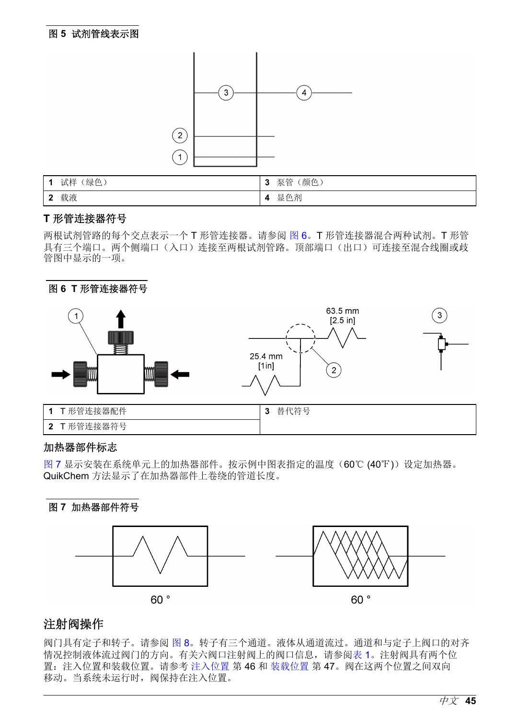#### <span id="page-44-0"></span>图 **5** 试剂管线表示图



| 绿色<br>试样                      | '颜色)<br>泵管<br>ν |
|-------------------------------|-----------------|
| 载液<br>$\overline{\mathbf{2}}$ | !色剂<br>显<br>4   |

#### **T** 形管连接器符号

两根试剂管路的每个交点表示一个 T 形管连接器。请参阅 图 6。T 形管连接器混合两种试剂。T 形管 具有三个端口。两个侧端口(入口)连接至两根试剂管路。顶部端口(出口)可连接至混合线圈或歧 管图中显示的一项。



#### 加热器部件标志

图 7 显示安装在系统单元上的加热器部件。按示例中图表指定的温度(60℃ (40℉))设定加热器。 QuikChem 方法显示了在加热器部件上卷绕的管道长度。





### 注射阀操作

阀门具有定子和转子。请参阅 [图](#page-45-0) 8。转子有三个通道。液体从通道流过。通道和与定子上阀口的对齐 情况控制液体流过阀门的方向。有关六阀口注射阀上的阀口信息,请参阅[表](#page-45-0) 1。注射阀具有两个位 置:注入位置和装载位置。请参考 [注入位置](#page-45-0) 第 46 和 [装载位置](#page-46-0) 第 47。阀在这两个位置之间双向 移动。当系统未运行时,阀保持在注入位置。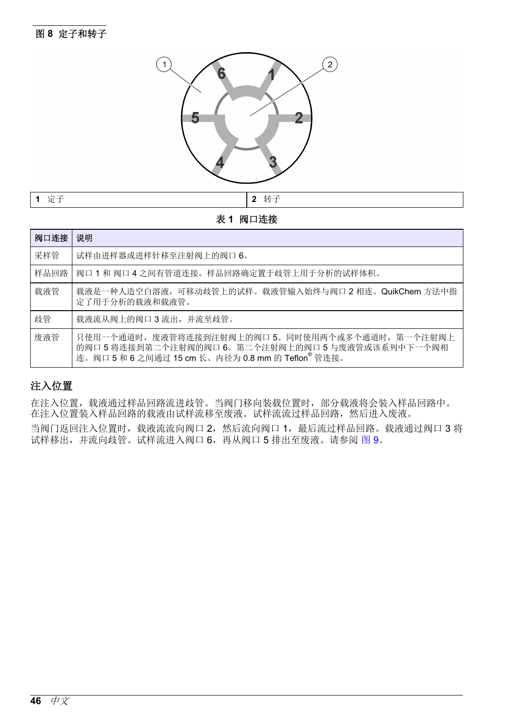<span id="page-45-0"></span>

#### 表 **1** 阀口连接

| 阀口连接 | 说明                                                                                                                                                                |
|------|-------------------------------------------------------------------------------------------------------------------------------------------------------------------|
| 采样管  | 试样由进样器或进样针移至注射阀上的阀口 6。                                                                                                                                            |
| 样品回路 | 阀口 1 和 阀口 4 之间有管道连接。样品回路确定置于歧管上用于分析的试样体积。                                                                                                                         |
| 载液管  | 载液是一种人造空白溶液,可移动歧管上的试样。载液管输入始终与阀口 2 相连。QuikChem 方法中指<br>定了用于分析的载液和载液管。                                                                                             |
| 歧管   | 载液流从阀上的阀口3流出,并流至歧管。                                                                                                                                               |
| 废液管  | 只使用一个通道时, 废液管将连接到注射阀上的阀口 5。同时使用两个或多个通道时, 第一个注射阀上<br>的阀口5将连接到第二个注射阀的阀口6。第二个注射阀上的阀口5与废液管或该系列中下一个阀相<br>连。阀口 5 和 6 之间通过 15 cm 长、内径为 0.8 mm 的 Teflon <sup>®</sup> 管连接。 |

### 注入位置

在注入位置,载液通过样品回路流进歧管。当阀门移向装载位置时,部分载液将会装入样品回路中。 在注入位置装入样品回路的载液由试样流移至废液。试样流流过样品回路,然后进入废液。

当阀门返回注入位置时,载液流流向阀口 2,然后流向阀口 1,最后流过样品回路。载液通过阀口 3 将 试样移出,并流向歧管。试样流进入阀口 6,再从阀口 5 排出至废液。请参阅 [图](#page-46-0) 9。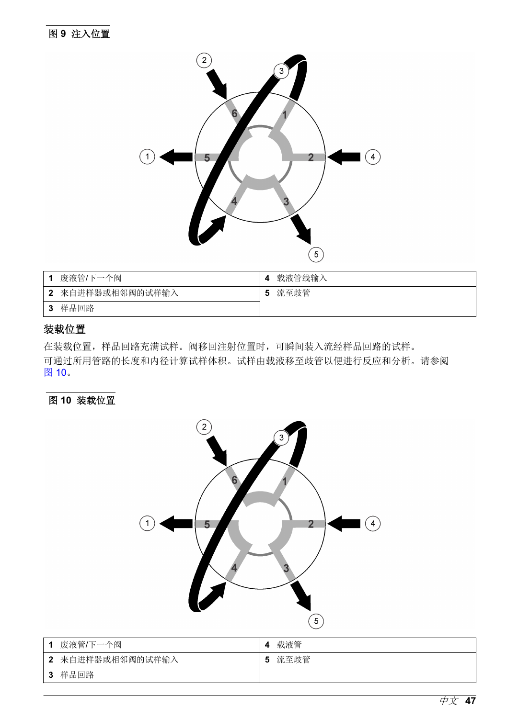<span id="page-46-0"></span>

|   | 废液管/下一个阀         | 4 | 载液管线输入 |
|---|------------------|---|--------|
|   | 2 来自进样器或相邻阀的试样输入 | 5 | 流至歧管   |
| 3 | 样品回路             |   |        |

### 装载位置

在装载位置,样品回路充满试样。阀移回注射位置时,可瞬间装入流经样品回路的试样。 可通过所用管路的长度和内径计算试样体积。试样由载液移至歧管以便进行反应和分析。请参阅 图 10。

### 图 **10** 装载位置



|     | 废液管/下一个阀         |   | 载液管  |
|-----|------------------|---|------|
|     | 2 来自进样器或相邻阀的试样输入 | 5 | 流至歧管 |
| - 3 | 样品回路             |   |      |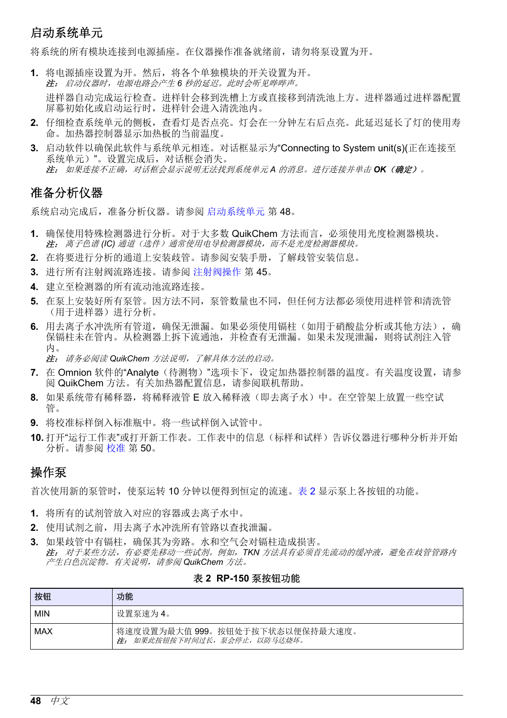# 启动系统单元

将系统的所有模块连接到电源插座。在仪器操作准备就绪前,请勿将泵设置为开。

**1.** 将电源插座设置为开。然后,将各个单独模块的开关设置为开。 注: 启动仪器时,电源电路会产生 *6* 秒的延迟。此时会听见哔哔声。

进样器自动完成运行检查。进样针会移到洗槽上方或直接移到清洗池上方。进样器通过进样器配置 屏幕初始化或启动运行时,进样针会进入清洗池内。

- **2.** 仔细检查系统单元的侧板,查看灯是否点亮。灯会在一分钟左右后点亮。此延迟延长了灯的使用寿 命。加热器控制器显示加热板的当前温度。
- **3.** 启动软件以确保此软件与系统单元相连。对话框显示为"Connecting to System unit(s)(正在连接至 系统单元)"。设置完成后,对话框会消失。 注: 如果连接不正确,对话框会显示说明无法找到系统单元 *A* 的消息。进行连接并单击 *OK*(确定)。

# 准备分析仪器

系统启动完成后,准备分析仪器。请参阅 启动系统单元 第 48。

- **1.** 确保使用特殊检测器进行分析。对于大多数 QuikChem 方法而言,必须使用光度检测器模块。 注: 离子色谱 *(IC)* 通道(选件)通常使用电导检测器模块,而不是光度检测器模块。
- **2.** 在将要进行分析的通道上安装歧管。请参阅安装手册,了解歧管安装信息。
- **3.** 进行所有注射阀流路连接。请参阅 [注射阀操作](#page-44-0) 第 45。
- **4.** 建立至检测器的所有流动池流路连接。
- **5.** 在泵上安装好所有泵管。因方法不同,泵管数量也不同,但任何方法都必须使用进样管和清洗管 (用于进样器)进行分析。
- **6.** 用去离子水冲洗所有管道,确保无泄漏。如果必须使用镉柱(如用于硝酸盐分析或其他方法),确 保镉柱未在管内。从检测器上拆下流通池,并检查有无泄漏。如果未发现泄漏,则将试剂注入管 内。

注: 请务必阅读 *QuikChem* 方法说明,了解具体方法的启动。

- **7.** 在 Omnion 软件的"Analyte(待测物)"选项卡下,设定加热器控制器的温度。有关温度设置,请参 阅 QuikChem 方法。有关加热器配置信息,请参阅联机帮助。
- 8. 如果系统带有稀释器,将稀释液管 E 放入稀释液(即去离子水)中。在空管架上放置一些空试 管。
- **9.** 将校准标样倒入标准瓶中。将一些试样倒入试管中。
- **10.** 打开"运行工作表"或打开新工作表。工作表中的信息(标样和试样)告诉仪器进行哪种分析并开始 分析。请参阅 [校准](#page-49-0) 第 50。

### 操作泵

首次使用新的泵管时,使泵运转 10 分钟以便得到恒定的流速。表 2 显示泵上各按钮的功能。

- **1.** 将所有的试剂管放入对应的容器或去离子水中。
- **2.** 使用试剂之前,用去离子水冲洗所有管路以查找泄漏。
- **3.** 如果歧管中有镉柱,确保其为旁路。水和空气会对镉柱造成损害。 注: 对于某些方法,有必要先移动一些试剂。例如,*TKN* 方法具有必须首先流动的缓冲液,避免在歧管管路内 产生白色沉淀物。有关说明,请参阅 *QuikChem* 方法。

#### 表 **2 RP-150** 泵按钮功能

| 按钮         | 功能                                                              |
|------------|-----------------------------------------------------------------|
| <b>MIN</b> | 设置泵速为4。                                                         |
| l MAX      | 将速度设置为最大值999。按钮处于按下状态以便保持最大速度。<br>注: 如果此按钮按下时间过长, 泵会停止, 以防马达烧坏。 |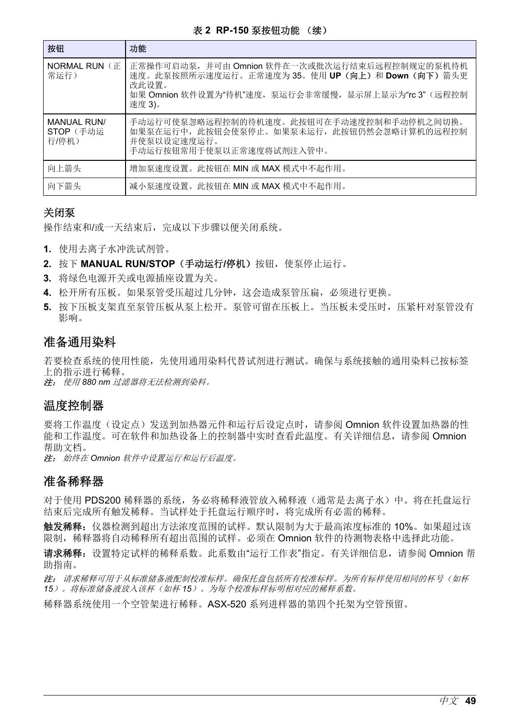#### 表 **2 RP-150** 泵按钮功能 (续)

<span id="page-48-0"></span>

| 按钮                                       | 功能                                                                                                                                                                        |
|------------------------------------------|---------------------------------------------------------------------------------------------------------------------------------------------------------------------------|
| NORMAL RUN (F<br>常运行)                    | 正常操作可启动泵,并可由 Omnion 软件在一次或批次运行结束后远程控制规定的泵机待机<br>速度。此泵按照所示速度运行。正常速度为35。使用 UP (向上) 和 Down (向下) 箭头更<br>改此设置。<br>如果 Omnion 软件设置为"待机"速度,泵运行会非常缓慢,显示屏上显示为"rc 3" (远程控制<br>速度 3)。 |
| <b>MANUAL RUN/</b><br>STOP (手动运<br>行/停机) | 手动运行可使泵忽略远程控制的待机速度。此按钮可在手动速度控制和手动停机之间切换。<br>如果泵在运行中, 此按钮会使泵停止。如果泵未运行, 此按钮仍然会忽略计算机的远程控制<br>并使泵以设定速度运行。<br>手动运行按钮常用于使泵以正常速度将试剂注入管中。                                         |
| 向上箭头                                     | 增加泵速度设置。此按钮在 MIN 或 MAX 模式中不起作用。                                                                                                                                           |
| 向下箭头                                     | 减小泵速度设置。此按钮在 MIN 或 MAX 模式中不起作用。                                                                                                                                           |

#### 关闭泵

操作结束和/或一天结束后,完成以下步骤以便关闭系统。

- **1.** 使用去离子水冲洗试剂管。
- 2. 按下 MANUAL RUN/STOP (手动运行/停机)按钮, 使泵停止运行。
- **3.** 将绿色电源开关或电源插座设置为关。
- **4.** 松开所有压板。如果泵管受压超过几分钟,这会造成泵管压扁,必须进行更换。
- **5.** 按下压板支架直至泵管压板从泵上松开。泵管可留在压板上。当压板未受压时,压紧杆对泵管没有 影响。

### 准备通用染料

若要检查系统的使用性能,先使用通用染料代替试剂进行测试。确保与系统接触的通用染料已按标签 上的指示进行稀释。

注: 使用 *880 nm* 过滤器将无法检测到染料。

### 温度控制器

要将工作温度(设定点)发送到加热器元件和运行后设定占时,请参阅 Omnion 软件设置加热器的性 能和工作温度。可在软件和加热设备上的控制器中实时查看此温度。有关详细信息,请参阅 Omnion 帮助文档。

注: 始终在 *Omnion* 软件中设置运行和运行后温度。

### 准备稀释器

对于使用 PDS200 稀释器的系统, 务必将稀释液管放入稀释液(通常是夫离子水)中。将在托盘运行 结束后完成所有触发稀释。当试样处于托盘运行顺序时,将完成所有必需的稀释。

触发稀释:仪器检测到超出方法浓度范围的试样。默认限制为大于最高浓度标准的 10%。如果超过该 限制,稀释器将自动稀释所有超出范围的试样。必须在 Omnion 软件的待测物表格中选择此功能。

请求稀释: 设置特定试样的稀释系数。此系数由"运行工作表"指定。有关详细信息, 请参阅 Omnion 帮 助指南。

注: 请求稀释可用于从标准储备液配制校准标样。确保托盘包括所有校准标样。为所有标样使用相同的杯号(如杯 *15*)。将标准储备液放入该杯(如杯 *15*)。为每个校准标样标明相对应的稀释系数。

稀释器系统使用一个空管架进行稀释。ASX-520 系列进样器的第四个托架为空管预留。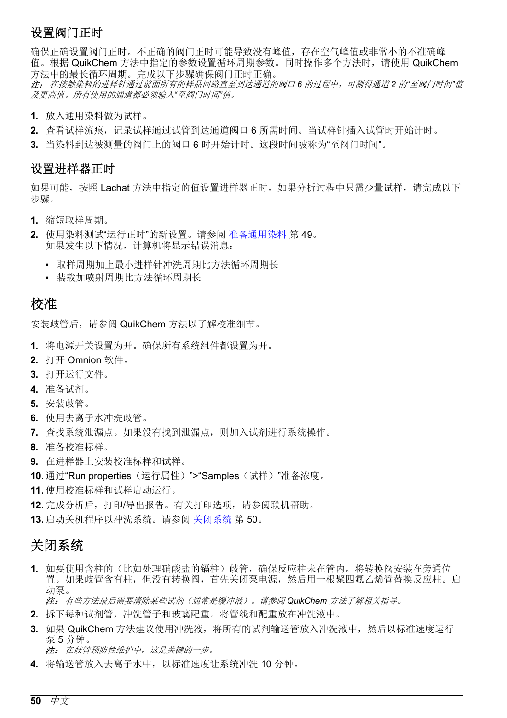# <span id="page-49-0"></span>设置阀门正时

确保正确设置阀门正时。不正确的阀门正时可能导致没有峰值,存在空气峰值或非常小的不准确峰 值。根据 QuikChem 方法中指定的参数设置循环周期参数。同时操作多个方法时,请使用 QuikChem 方法中的最长循环周期。完成以下步骤确保阀门正时正确。

注: 在接触染料的进样针通过前面所有的样品回路直至到达通道的阀口 *6* 的过程中,可测得通道 *2* 的*"*至阀门时间*"*值 及更高值。所有使用的通道都必须输入*"*至阀门时间*"*值。

- **1.** 放入通用染料做为试样。
- 2. 查看试样流痕,记录试样通过试管到达通道阀口 6 所需时间。当试样针插入试管时开始计时。
- **3.** 当染料到达被测量的阀门上的阀口 6 时开始计时。这段时间被称为"至阀门时间"。

### 设置进样器正时

如果可能, 按照 Lachat 方法中指定的值设置进样器正时。如果分析过程中只需少量试样, 请完成以下 步骤。

- **1.** 缩短取样周期。
- **2.** 使用染料测试"运行正时"的新设置。请参阅 [准备通用染料](#page-48-0) 第 49。 如果发生以下情况,计算机将显示错误消息:
	- 取样周期加上最小进样针冲洗周期比方法循环周期长
	- 装载加喷射周期比方法循环周期长

# 校准

安装歧管后,请参阅 QuikChem 方法以了解校准细节。

- **1.** 将电源开关设置为开。确保所有系统组件都设置为开。
- **2.** 打开 Omnion 软件。
- **3.** 打开运行文件。
- **4.** 准备试剂。
- **5.** 安装歧管。
- **6.** 使用去离子水冲洗歧管。
- **7.** 查找系统泄漏点。如果没有找到泄漏点,则加入试剂进行系统操作。
- **8.** 准备校准标样。
- **9.** 在进样器上安装校准标样和试样。
- **10.** 通过"Run properties(运行属性)">"Samples(试样)"准备浓度。
- **11.** 使用校准标样和试样启动运行。
- **12.** 完成分析后,打印/导出报告。有关打印选项,请参阅联机帮助。
- **13.** 启动关机程序以冲洗系统。请参阅 关闭系统 第 50。

# 关闭系统

**1.** 如要使用含柱的(比如处理硝酸盐的镉柱)歧管,确保反应柱未在管内。将转换阀安装在旁通位 置。如果歧管含有柱,但没有转换阀,首先关闭泵电源,然后用一根聚四氟乙烯管替换反应柱。启 动泵。

注: 有些方法最后需要清除某些试剂(通常是缓冲液)。请参阅 *QuikChem* 方法了解相关指导。

- **2.** 拆下每种试剂管,冲洗管子和玻璃配重。将管线和配重放在冲洗液中。
- **3.** 如果 QuikChem 方法建议使用冲洗液,将所有的试剂输送管放入冲洗液中,然后以标准速度运行 泵 5 分钟。 注: 在歧管预防性维护中,这是关键的一步。
- **4.** 将输送管放入去离子水中,以标准速度让系统冲洗 10 分钟。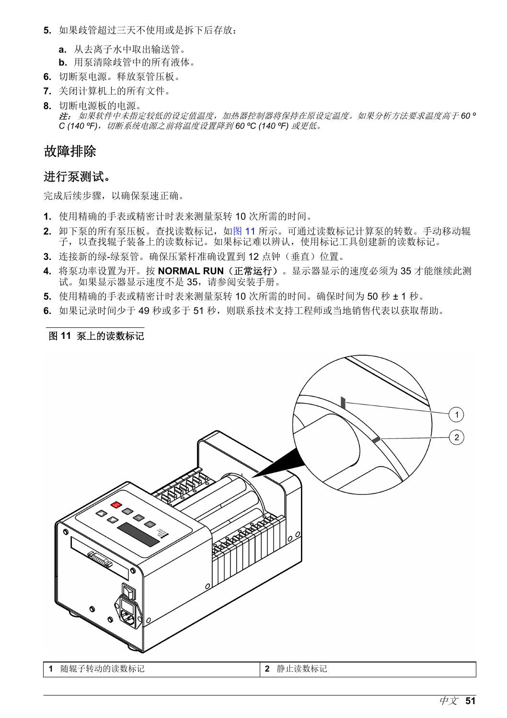- <span id="page-50-0"></span>**5.** 如果歧管超过三天不使用或是拆下后存放:
	- **a.** 从去离子水中取出输送管。
	- **b.** 用泵清除歧管中的所有液体。
- **6.** 切断泵电源。释放泵管压板。
- **7.** 关闭计算机上的所有文件。
- **8.** 切断电源板的电源。 注: 如果软件中未指定较低的设定值温度,加热器控制器将保持在原设定温度。如果分析方法要求温度高于 *60 º* C (140 °F)*,切断系统电源之前将温度设置降到 60 °C (140 °F) 或更低。*

# 故障排除

### 进行泵测试。

完成后续步骤,以确保泵速正确。

- **1.** 使用精确的手表或精密计时表来测量泵转 10 次所需的时间。
- **2.** 卸下泵的所有泵压板。查找读数标记,如图 11 所示。可通过读数标记计算泵的转数。手动移动辊 子,以查找辊子装备上的读数标记。如果标记难以辨认,使用标记工具创建新的读数标记。
- 3. 连接新的绿-绿泵管。确保压紧杆准确设置到 12 点钟(垂直)位置。
- **4.** 将泵功率设置为开。按 **NORMAL RUN**(正常运行)。显示器显示的速度必须为 35 才能继续此测 试。如果显示器显示速度不是 35,请参阅安装手册。
- **5.** 使用精确的手表或精密计时表来测量泵转 10 次所需的时间。确保时间为 50 秒 ± 1 秒。
- 6. 如果记录时间少于 49 秒或多于 51 秒,则联系技术支持工程师或当地销售代表以获取帮助。

### 图 **11** 泵上的读数标记